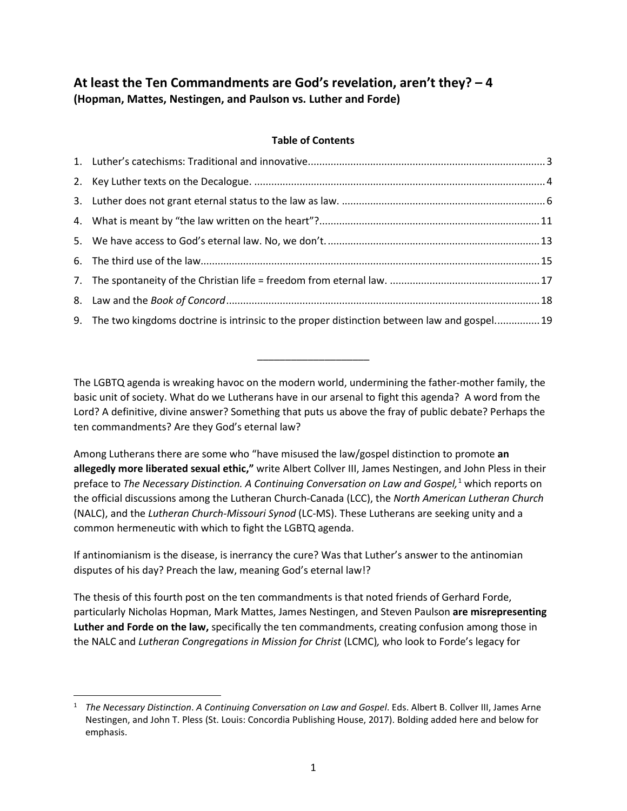# **At least the Ten Commandments are God's revelation, aren't they? – 4 (Hopman, Mattes, Nestingen, and Paulson vs. Luther and Forde)**

## **Table of Contents**

| 9. The two kingdoms doctrine is intrinsic to the proper distinction between law and gospel 19 |  |
|-----------------------------------------------------------------------------------------------|--|

The LGBTQ agenda is wreaking havoc on the modern world, undermining the father-mother family, the basic unit of society. What do we Lutherans have in our arsenal to fight this agenda? A word from the Lord? A definitive, divine answer? Something that puts us above the fray of public debate? Perhaps the ten commandments? Are they God's eternal law?

\_\_\_\_\_\_\_\_\_\_\_\_\_\_\_\_\_\_\_\_

Among Lutherans there are some who "have misused the law/gospel distinction to promote **an allegedly more liberated sexual ethic,"** write Albert Collver III, James Nestingen, and John Pless in their preface to *The Necessary Distinction. A Continuing Conversation on Law and Gospel,* [1](#page-0-0) which reports on the official discussions among the Lutheran Church-Canada (LCC), the *North American Lutheran Church*  (NALC), and the *Lutheran Church-Missouri Synod* (LC-MS). These Lutherans are seeking unity and a common hermeneutic with which to fight the LGBTQ agenda.

If antinomianism is the disease, is inerrancy the cure? Was that Luther's answer to the antinomian disputes of his day? Preach the law, meaning God's eternal law!?

The thesis of this fourth post on the ten commandments is that noted friends of Gerhard Forde, particularly Nicholas Hopman, Mark Mattes, James Nestingen, and Steven Paulson **are misrepresenting Luther and Forde on the law,** specifically the ten commandments, creating confusion among those in the NALC and *Lutheran Congregations in Mission for Christ* (LCMC)*,* who look to Forde's legacy for

<span id="page-0-0"></span><sup>1</sup> *The Necessary Distinction*. *A Continuing Conversation on Law and Gospel*. Eds. Albert B. Collver III, James Arne Nestingen, and John T. Pless (St. Louis: Concordia Publishing House, 2017). Bolding added here and below for emphasis.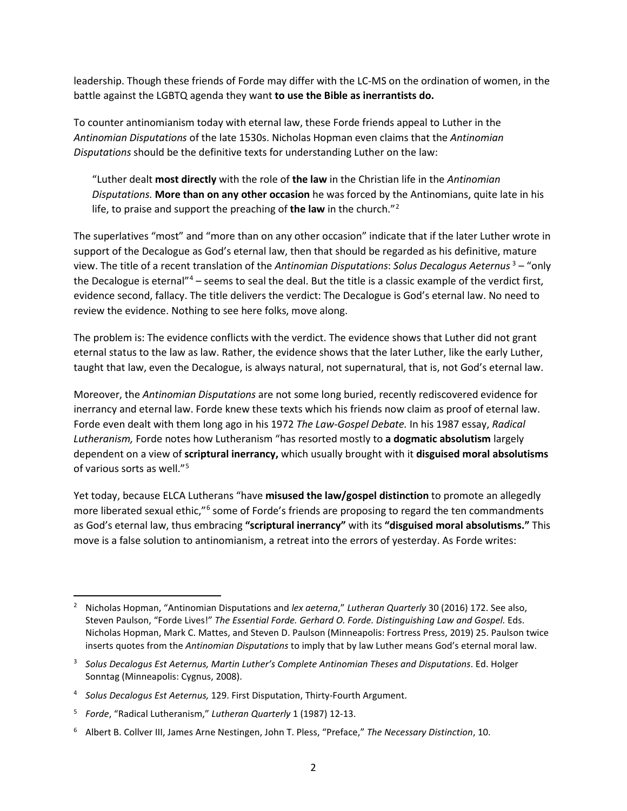leadership. Though these friends of Forde may differ with the LC-MS on the ordination of women, in the battle against the LGBTQ agenda they want **to use the Bible as inerrantists do.**

To counter antinomianism today with eternal law, these Forde friends appeal to Luther in the *Antinomian Disputations* of the late 1530s. Nicholas Hopman even claims that the *Antinomian Disputations* should be the definitive texts for understanding Luther on the law:

"Luther dealt **most directly** with the role of **the law** in the Christian life in the *Antinomian Disputations.* **More than on any other occasion** he was forced by the Antinomians, quite late in his life, to praise and support the preaching of **the law** in the church."[2](#page-1-0)

The superlatives "most" and "more than on any other occasion" indicate that if the later Luther wrote in support of the Decalogue as God's eternal law, then that should be regarded as his definitive, mature view. The title of a recent translation of the *Antinomian Disputations*: *Solus Decalogus Aeternus* [3](#page-1-1) – "only the Decalogue is eternal<sup>"[4](#page-1-2)</sup> – seems to seal the deal. But the title is a classic example of the verdict first, evidence second, fallacy. The title delivers the verdict: The Decalogue is God's eternal law. No need to review the evidence. Nothing to see here folks, move along.

The problem is: The evidence conflicts with the verdict. The evidence shows that Luther did not grant eternal status to the law as law. Rather, the evidence shows that the later Luther, like the early Luther, taught that law, even the Decalogue, is always natural, not supernatural, that is, not God's eternal law.

Moreover, the *Antinomian Disputations* are not some long buried, recently rediscovered evidence for inerrancy and eternal law. Forde knew these texts which his friends now claim as proof of eternal law. Forde even dealt with them long ago in his 1972 *The Law-Gospel Debate.* In his 1987 essay, *Radical Lutheranism,* Forde notes how Lutheranism "has resorted mostly to **a dogmatic absolutism** largely dependent on a view of **scriptural inerrancy,** which usually brought with it **disguised moral absolutisms** of various sorts as well."[5](#page-1-3)

Yet today, because ELCA Lutherans "have **misused the law/gospel distinction** to promote an allegedly more liberated sexual ethic,"<sup>[6](#page-1-4)</sup> some of Forde's friends are proposing to regard the ten commandments as God's eternal law, thus embracing **"scriptural inerrancy"** with its **"disguised moral absolutisms."** This move is a false solution to antinomianism, a retreat into the errors of yesterday. As Forde writes:

<span id="page-1-0"></span><sup>2</sup> Nicholas Hopman, "Antinomian Disputations and *lex aeterna*," *Lutheran Quarterly* 30 (2016) 172. See also, Steven Paulson, "Forde Lives!" The Essential Forde. Gerhard O. Forde. Distinguishing Law and Gospel. Eds. Nicholas Hopman, Mark C. Mattes, and Steven D. Paulson (Minneapolis: Fortress Press, 2019) 25. Paulson twice inserts quotes from the *Antinomian Disputations* to imply that by law Luther means God's eternal moral law.

<span id="page-1-1"></span><sup>3</sup> *Solus Decalogus Est Aeternus, Martin Luther's Complete Antinomian Theses and Disputations*. Ed. Holger Sonntag (Minneapolis: Cygnus, 2008).

<span id="page-1-2"></span><sup>4</sup> *Solus Decalogus Est Aeternus,* 129. First Disputation, Thirty-Fourth Argument.

<span id="page-1-3"></span><sup>5</sup> *Forde*, "Radical Lutheranism," *Lutheran Quarterly* 1 (1987) 12-13.

<span id="page-1-4"></span><sup>6</sup> Albert B. Collver III, James Arne Nestingen, John T. Pless, "Preface," *The Necessary Distinction*, 10.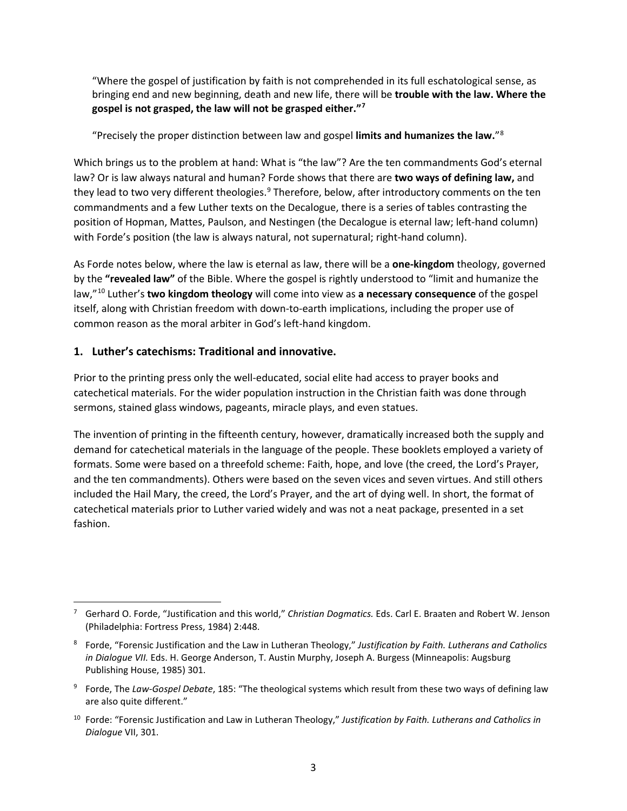"Where the gospel of justification by faith is not comprehended in its full eschatological sense, as bringing end and new beginning, death and new life, there will be **trouble with the law. Where the gospel is not grasped, the law will not be grasped either."[7](#page-2-1)**

"Precisely the proper distinction between law and gospel **limits and humanizes the law.**"[8](#page-2-2)

Which brings us to the problem at hand: What is "the law"? Are the ten commandments God's eternal law? Or is law always natural and human? Forde shows that there are **two ways of defining law,** and they lead to two very different theologies.<sup>[9](#page-2-3)</sup> Therefore, below, after introductory comments on the ten commandments and a few Luther texts on the Decalogue, there is a series of tables contrasting the position of Hopman, Mattes, Paulson, and Nestingen (the Decalogue is eternal law; left-hand column) with Forde's position (the law is always natural, not supernatural; right-hand column).

As Forde notes below, where the law is eternal as law, there will be a **one-kingdom** theology, governed by the **"revealed law"** of the Bible. Where the gospel is rightly understood to "limit and humanize the law,"[10](#page-2-4) Luther's **two kingdom theology** will come into view as **a necessary consequence** of the gospel itself, along with Christian freedom with down-to-earth implications, including the proper use of common reason as the moral arbiter in God's left-hand kingdom.

# <span id="page-2-0"></span>**1. Luther's catechisms: Traditional and innovative.**

Prior to the printing press only the well-educated, social elite had access to prayer books and catechetical materials. For the wider population instruction in the Christian faith was done through sermons, stained glass windows, pageants, miracle plays, and even statues.

The invention of printing in the fifteenth century, however, dramatically increased both the supply and demand for catechetical materials in the language of the people. These booklets employed a variety of formats. Some were based on a threefold scheme: Faith, hope, and love (the creed, the Lord's Prayer, and the ten commandments). Others were based on the seven vices and seven virtues. And still others included the Hail Mary, the creed, the Lord's Prayer, and the art of dying well. In short, the format of catechetical materials prior to Luther varied widely and was not a neat package, presented in a set fashion.

<span id="page-2-1"></span><sup>7</sup> Gerhard O. Forde, "Justification and this world," *Christian Dogmatics.* Eds. Carl E. Braaten and Robert W. Jenson (Philadelphia: Fortress Press, 1984) 2:448.

<span id="page-2-2"></span><sup>8</sup> Forde, "Forensic Justification and the Law in Lutheran Theology," *Justification by Faith. Lutherans and Catholics in Dialogue VII.* Eds. H. George Anderson, T. Austin Murphy, Joseph A. Burgess (Minneapolis: Augsburg Publishing House, 1985) 301.

<span id="page-2-3"></span><sup>9</sup> Forde, The *Law-Gospel Debate*, 185: "The theological systems which result from these two ways of defining law are also quite different."

<span id="page-2-4"></span><sup>10</sup> Forde: "Forensic Justification and Law in Lutheran Theology," *Justification by Faith. Lutherans and Catholics in Dialogue* VII, 301.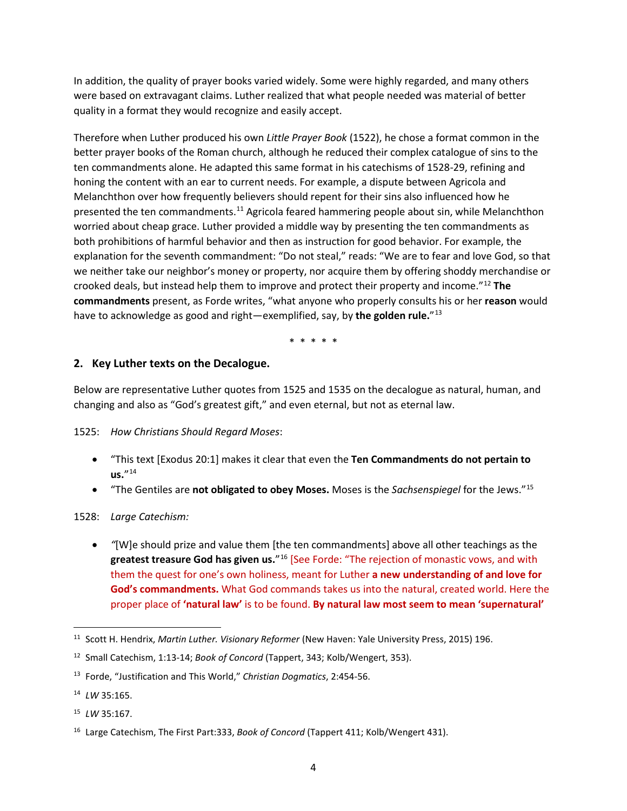In addition, the quality of prayer books varied widely. Some were highly regarded, and many others were based on extravagant claims. Luther realized that what people needed was material of better quality in a format they would recognize and easily accept.

Therefore when Luther produced his own *Little Prayer Book* (1522), he chose a format common in the better prayer books of the Roman church, although he reduced their complex catalogue of sins to the ten commandments alone. He adapted this same format in his catechisms of 1528-29, refining and honing the content with an ear to current needs. For example, a dispute between Agricola and Melanchthon over how frequently believers should repent for their sins also influenced how he presented the ten commandments.<sup>[11](#page-3-1)</sup> Agricola feared hammering people about sin, while Melanchthon worried about cheap grace. Luther provided a middle way by presenting the ten commandments as both prohibitions of harmful behavior and then as instruction for good behavior. For example, the explanation for the seventh commandment: "Do not steal," reads: "We are to fear and love God, so that we neither take our neighbor's money or property, nor acquire them by offering shoddy merchandise or crooked deals, but instead help them to improve and protect their property and income."[12](#page-3-2) **The commandments** present, as Forde writes, "what anyone who properly consults his or her **reason** would have to acknowledge as good and right—exemplified, say, by **the golden rule.**"[13](#page-3-3)

\* \* \* \* \*

## <span id="page-3-0"></span>**2. Key Luther texts on the Decalogue.**

Below are representative Luther quotes from 1525 and 1535 on the decalogue as natural, human, and changing and also as "God's greatest gift," and even eternal, but not as eternal law.

#### 1525: *How Christians Should Regard Moses*:

- "This text [Exodus 20:1] makes it clear that even the **Ten Commandments do not pertain to us.**"[14](#page-3-4)
- "The Gentiles are **not obligated to obey Moses.** Moses is the *Sachsenspiegel* for the Jews."[15](#page-3-5)

1528: *Large Catechism:*

• *"*[W]e should prize and value them [the ten commandments] above all other teachings as the **greatest treasure God has given us.**"[16](#page-3-6) [See Forde: "The rejection of monastic vows, and with them the quest for one's own holiness, meant for Luther **a new understanding of and love for God's commandments.** What God commands takes us into the natural, created world. Here the proper place of **'natural law'** is to be found. **By natural law most seem to mean 'supernatural'** 

<span id="page-3-1"></span><sup>11</sup> Scott H. Hendrix, *Martin Luther. Visionary Reformer* (New Haven: Yale University Press, 2015) 196.

<span id="page-3-2"></span><sup>12</sup> Small Catechism, 1:13-14; *Book of Concord* (Tappert, 343; Kolb/Wengert, 353).

<span id="page-3-3"></span><sup>13</sup> Forde, "Justification and This World," *Christian Dogmatics*, 2:454-56.

<span id="page-3-4"></span><sup>14</sup> *LW* 35:165.

<span id="page-3-5"></span><sup>15</sup> *LW* 35:167.

<span id="page-3-6"></span><sup>16</sup> Large Catechism, The First Part:333, *Book of Concord* (Tappert 411; Kolb/Wengert 431).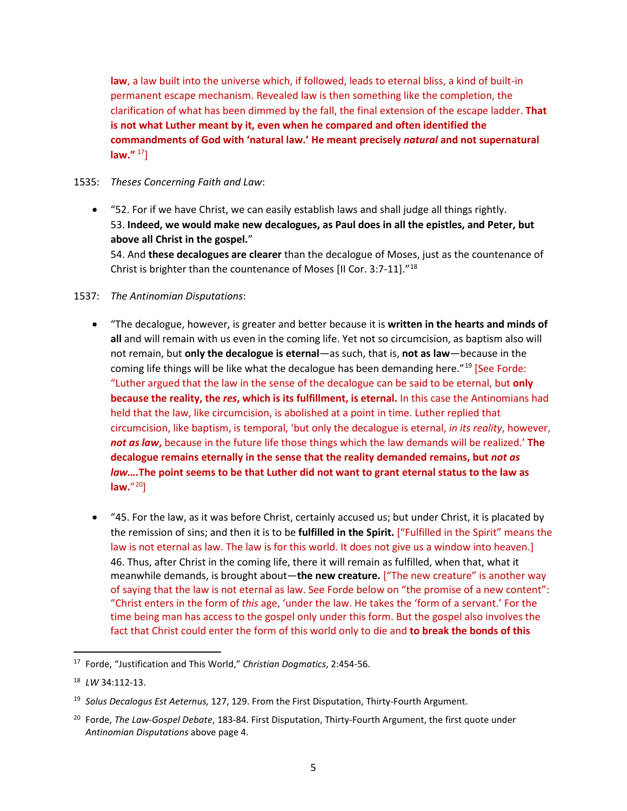**law**, a law built into the universe which, if followed, leads to eternal bliss, a kind of built-in permanent escape mechanism. Revealed law is then something like the completion, the clarification of what has been dimmed by the fall, the final extension of the escape ladder. **That is not what Luther meant by it, even when he compared and often identified the commandments of God with 'natural law.' He meant precisely** *natural* **and not supernatural law."** [17](#page-4-0)]

#### 1535: *Theses Concerning Faith and Law*:

• "52. For if we have Christ, we can easily establish laws and shall judge all things rightly. 53. **Indeed, we would make new decalogues, as Paul does in all the epistles, and Peter, but above all Christ in the gospel.**" 54. And **these decalogues are clearer** than the decalogue of Moses, just as the countenance of Christ is brighter than the countenance of Moses [II Cor. 3:7-11]."[18](#page-4-1)

### 1537: *The Antinomian Disputations*:

- "The decalogue, however, is greater and better because it is **written in the hearts and minds of all** and will remain with us even in the coming life. Yet not so circumcision, as baptism also will not remain, but **only the decalogue is eternal**—as such, that is, **not as law**—because in the coming life things will be like what the decalogue has been demanding here."<sup>[19](#page-4-2)</sup> [See Forde: "Luther argued that the law in the sense of the decalogue can be said to be eternal, but **only because the reality, the** *res***, which is its fulfillment, is eternal.** In this case the Antinomians had held that the law, like circumcision, is abolished at a point in time. Luther replied that circumcision, like baptism, is temporal, 'but only the decalogue is eternal, *in its reality*, however, *not as law***,** because in the future life those things which the law demands will be realized.' **The decalogue remains eternally in the sense that the reality demanded remains, but** *not as law….***The point seems to be that Luther did not want to grant eternal status to the law as law.**"[20](#page-4-3)]
- "45. For the law, as it was before Christ, certainly accused us; but under Christ, it is placated by the remission of sins; and then it is to be **fulfilled in the Spirit.** ["Fulfilled in the Spirit" means the law is not eternal as law. The law is for this world. It does not give us a window into heaven.] 46. Thus, after Christ in the coming life, there it will remain as fulfilled, when that, what it meanwhile demands, is brought about—**the new creature.** ["The new creature" is another way of saying that the law is not eternal as law. See Forde below on "the promise of a new content": "Christ enters in the form of *this* age, 'under the law. He takes the 'form of a servant.' For the time being man has access to the gospel only under this form. But the gospel also involves the fact that Christ could enter the form of this world only to die and **to break the bonds of this**

<span id="page-4-0"></span><sup>17</sup> Forde, "Justification and This World," *Christian Dogmatics*, 2:454-56.

<span id="page-4-1"></span><sup>18</sup> *LW* 34:112-13.

<span id="page-4-2"></span><sup>19</sup> *Solus Decalogus Est Aeternus,* 127, 129. From the First Disputation, Thirty-Fourth Argument.

<span id="page-4-3"></span><sup>20</sup> Forde, *The Law-Gospel Debate*, 183-84. First Disputation, Thirty-Fourth Argument, the first quote under *Antinomian Disputations* above page 4.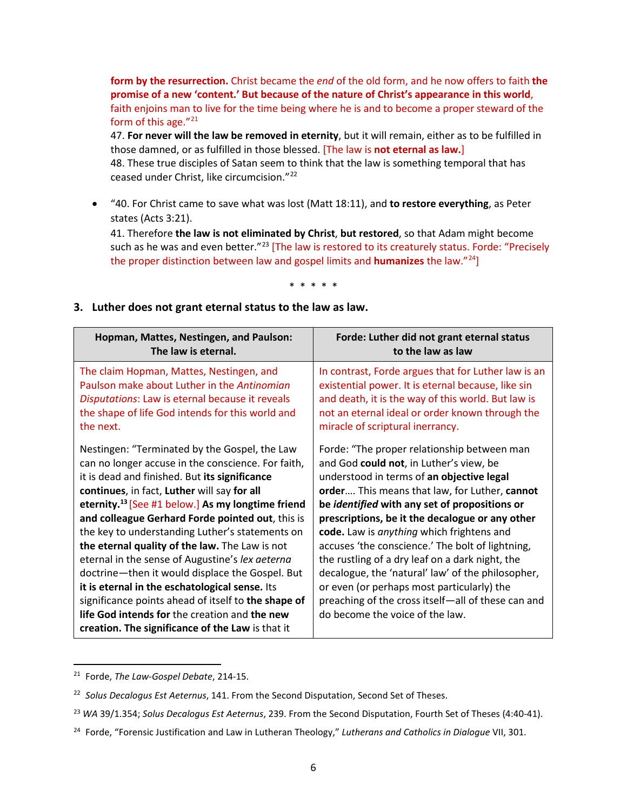**form by the resurrection.** Christ became the *end* of the old form, and he now offers to faith **the promise of a new 'content.' But because of the nature of Christ's appearance in this world**, faith enjoins man to live for the time being where he is and to become a proper steward of the form of this age. $"^{21}$ 

47. **For never will the law be removed in eternity**, but it will remain, either as to be fulfilled in those damned, or as fulfilled in those blessed. [The law is **not eternal as law.**] 48. These true disciples of Satan seem to think that the law is something temporal that has

ceased under Christ, like circumcision.["22](#page-5-2)

• "40. For Christ came to save what was lost (Matt 18:11), and **to restore everything**, as Peter states (Acts 3:21).

41. Therefore **the law is not eliminated by Christ**, **but restored**, so that Adam might become such as he was and even better."<sup>[23](#page-5-3)</sup> [The law is restored to its creaturely status. Forde: "Precisely the proper distinction between law and gospel limits and **humanizes** the law."[24\]](#page-5-4)

\* \* \* \* \*

#### **Hopman, Mattes, Nestingen, and Paulson: The law is eternal. Forde: Luther did not grant eternal status to the law as law** The claim Hopman, Mattes, Nestingen, and Paulson make about Luther in the *Antinomian Disputations*: Law is eternal because it reveals the shape of life God intends for this world and the next. Nestingen: "Terminated by the Gospel, the Law can no longer accuse in the conscience. For faith, it is dead and finished. But **its significance continues**, in fact, **Luther** will say **for all eternity.13** [See #1 below.] **As my longtime friend and colleague Gerhard Forde pointed out**, this is the key to understanding Luther's statements on **the eternal quality of the law.** The Law is not eternal in the sense of Augustine's *lex aeterna* doctrine—then it would displace the Gospel. But **it is eternal in the eschatological sense.** Its significance points ahead of itself to **the shape of life God intends for** the creation and **the new creation. The significance of the Law** is that it In contrast, Forde argues that for Luther law is an existential power. It is eternal because, like sin and death, it is the way of this world. But law is not an eternal ideal or order known through the miracle of scriptural inerrancy. Forde: "The proper relationship between man and God **could not**, in Luther's view, be understood in terms of **an objective legal order**…. This means that law, for Luther, **cannot be** *identified* **with any set of propositions or prescriptions, be it the decalogue or any other code.** Law is *anything* which frightens and accuses 'the conscience.' The bolt of lightning, the rustling of a dry leaf on a dark night, the decalogue, the 'natural' law' of the philosopher, or even (or perhaps most particularly) the preaching of the cross itself—all of these can and do become the voice of the law.

## <span id="page-5-0"></span>**3. Luther does not grant eternal status to the law as law.**

<span id="page-5-1"></span><sup>21</sup> Forde, *The Law-Gospel Debate*, 214-15.

<span id="page-5-2"></span><sup>22</sup> *Solus Decalogus Est Aeternus*, 141. From the Second Disputation, Second Set of Theses.

<span id="page-5-3"></span><sup>23</sup> *WA* 39/1.354; *Solus Decalogus Est Aeternus*, 239. From the Second Disputation, Fourth Set of Theses (4:40-41).

<span id="page-5-4"></span><sup>24</sup> Forde, "Forensic Justification and Law in Lutheran Theology," *Lutherans and Catholics in Dialogue* VII, 301.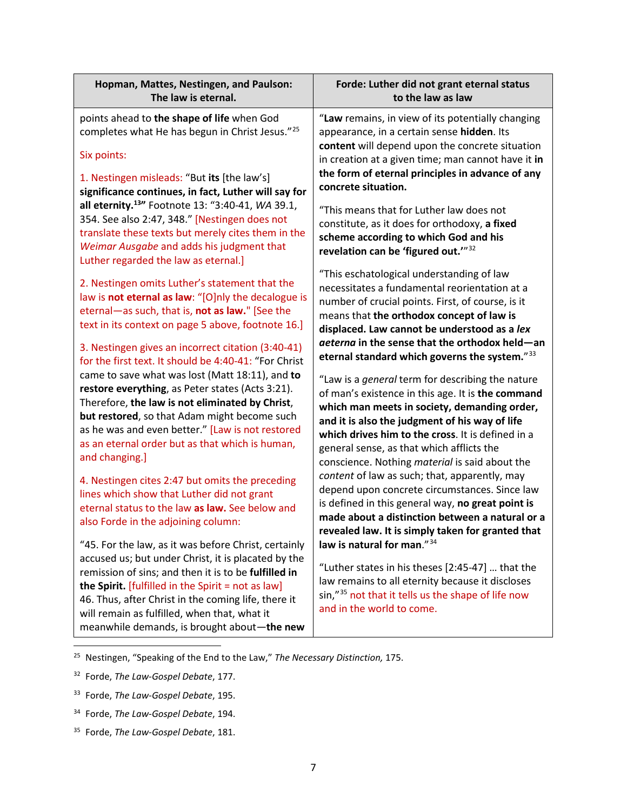| Hopman, Mattes, Nestingen, and Paulson:                                                                                                                                                                                                                                                                                 | Forde: Luther did not grant eternal status                                                                                                                                                                                                                                                |  |  |  |
|-------------------------------------------------------------------------------------------------------------------------------------------------------------------------------------------------------------------------------------------------------------------------------------------------------------------------|-------------------------------------------------------------------------------------------------------------------------------------------------------------------------------------------------------------------------------------------------------------------------------------------|--|--|--|
| The law is eternal.                                                                                                                                                                                                                                                                                                     | to the law as law                                                                                                                                                                                                                                                                         |  |  |  |
| points ahead to the shape of life when God<br>completes what He has begun in Christ Jesus."25<br>Six points:                                                                                                                                                                                                            | "Law remains, in view of its potentially changing<br>appearance, in a certain sense hidden. Its<br>content will depend upon the concrete situation<br>in creation at a given time; man cannot have it in                                                                                  |  |  |  |
| 1. Nestingen misleads: "But its [the law's]                                                                                                                                                                                                                                                                             | the form of eternal principles in advance of any                                                                                                                                                                                                                                          |  |  |  |
| significance continues, in fact, Luther will say for                                                                                                                                                                                                                                                                    | concrete situation.                                                                                                                                                                                                                                                                       |  |  |  |
| all eternity. <sup>13"</sup> Footnote 13: "3:40-41, WA 39.1,                                                                                                                                                                                                                                                            | "This means that for Luther law does not                                                                                                                                                                                                                                                  |  |  |  |
| 354. See also 2:47, 348." [Nestingen does not                                                                                                                                                                                                                                                                           | constitute, as it does for orthodoxy, a fixed                                                                                                                                                                                                                                             |  |  |  |
| translate these texts but merely cites them in the                                                                                                                                                                                                                                                                      | scheme according to which God and his                                                                                                                                                                                                                                                     |  |  |  |
| Weimar Ausgabe and adds his judgment that                                                                                                                                                                                                                                                                               | revelation can be 'figured out."32                                                                                                                                                                                                                                                        |  |  |  |
| Luther regarded the law as eternal.]                                                                                                                                                                                                                                                                                    | "This eschatological understanding of law                                                                                                                                                                                                                                                 |  |  |  |
| 2. Nestingen omits Luther's statement that the                                                                                                                                                                                                                                                                          | necessitates a fundamental reorientation at a                                                                                                                                                                                                                                             |  |  |  |
| law is not eternal as law: "[O]nly the decalogue is                                                                                                                                                                                                                                                                     | number of crucial points. First, of course, is it                                                                                                                                                                                                                                         |  |  |  |
| eternal-as such, that is, not as law." [See the                                                                                                                                                                                                                                                                         | means that the orthodox concept of law is                                                                                                                                                                                                                                                 |  |  |  |
| text in its context on page 5 above, footnote 16.]                                                                                                                                                                                                                                                                      | displaced. Law cannot be understood as a lex                                                                                                                                                                                                                                              |  |  |  |
| 3. Nestingen gives an incorrect citation (3:40-41)                                                                                                                                                                                                                                                                      | aeterna in the sense that the orthodox held-an                                                                                                                                                                                                                                            |  |  |  |
| for the first text. It should be 4:40-41: "For Christ                                                                                                                                                                                                                                                                   | eternal standard which governs the system."33                                                                                                                                                                                                                                             |  |  |  |
| came to save what was lost (Matt 18:11), and to                                                                                                                                                                                                                                                                         | "Law is a general term for describing the nature                                                                                                                                                                                                                                          |  |  |  |
| restore everything, as Peter states (Acts 3:21).                                                                                                                                                                                                                                                                        | of man's existence in this age. It is the command                                                                                                                                                                                                                                         |  |  |  |
| Therefore, the law is not eliminated by Christ,                                                                                                                                                                                                                                                                         | which man meets in society, demanding order,                                                                                                                                                                                                                                              |  |  |  |
| but restored, so that Adam might become such                                                                                                                                                                                                                                                                            | and it is also the judgment of his way of life                                                                                                                                                                                                                                            |  |  |  |
| as he was and even better." [Law is not restored                                                                                                                                                                                                                                                                        | which drives him to the cross. It is defined in a                                                                                                                                                                                                                                         |  |  |  |
| as an eternal order but as that which is human,                                                                                                                                                                                                                                                                         | general sense, as that which afflicts the                                                                                                                                                                                                                                                 |  |  |  |
| and changing.]                                                                                                                                                                                                                                                                                                          | conscience. Nothing material is said about the                                                                                                                                                                                                                                            |  |  |  |
| 4. Nestingen cites 2:47 but omits the preceding<br>lines which show that Luther did not grant<br>eternal status to the law as law. See below and<br>also Forde in the adjoining column:<br>"45. For the law, as it was before Christ, certainly                                                                         | content of law as such; that, apparently, may<br>depend upon concrete circumstances. Since law<br>is defined in this general way, no great point is<br>made about a distinction between a natural or a<br>revealed law. It is simply taken for granted that<br>law is natural for man."34 |  |  |  |
| accused us; but under Christ, it is placated by the<br>remission of sins; and then it is to be fulfilled in<br>the Spirit. [fulfilled in the Spirit = not as law]<br>46. Thus, after Christ in the coming life, there it<br>will remain as fulfilled, when that, what it<br>meanwhile demands, is brought about-the new | "Luther states in his theses [2:45-47]  that the<br>law remains to all eternity because it discloses<br>sin," <sup>35</sup> not that it tells us the shape of life now<br>and in the world to come.                                                                                       |  |  |  |

<span id="page-6-0"></span><sup>25</sup> Nestingen, "Speaking of the End to the Law," *The Necessary Distinction,* 175.

<span id="page-6-1"></span><sup>32</sup> Forde, *The Law-Gospel Debate*, 177.

<span id="page-6-2"></span><sup>33</sup> Forde, *The Law-Gospel Debate*, 195.

<span id="page-6-3"></span><sup>34</sup> Forde, *The Law-Gospel Debate*, 194.

<span id="page-6-4"></span><sup>35</sup> Forde, *The Law-Gospel Debate*, 181.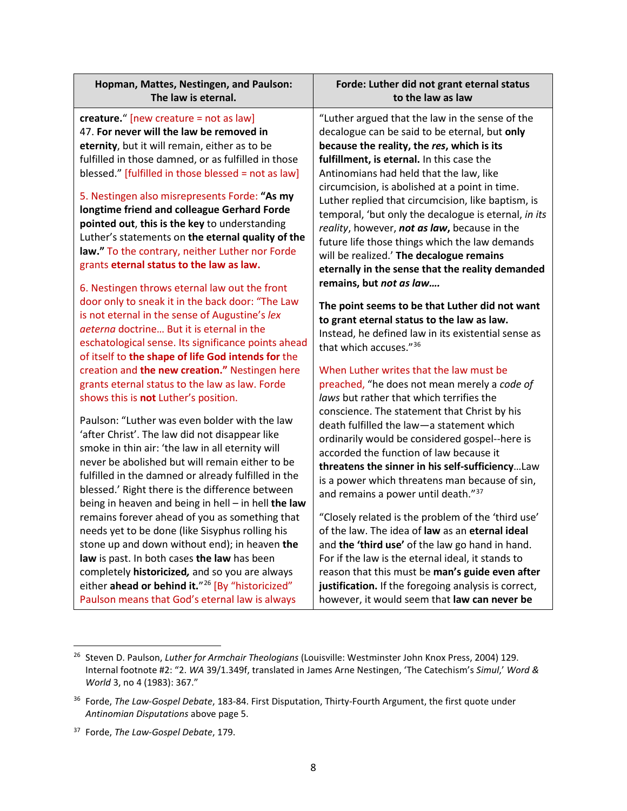| Hopman, Mattes, Nestingen, and Paulson: |
|-----------------------------------------|
| The law is eternal.                     |

**creature.**" [new creature = not as law] 47. **For never will the law be removed in eternity**, but it will remain, either as to be fulfilled in those damned, or as fulfilled in those blessed." [fulfilled in those blessed = not as law]

5. Nestingen also misrepresents Forde: **"As my longtime friend and colleague Gerhard Forde pointed out**, **this is the key** to understanding Luther's statements on **the eternal quality of the law."** To the contrary, neither Luther nor Forde grants **eternal status to the law as law.**

6. Nestingen throws eternal law out the front door only to sneak it in the back door: "The Law is not eternal in the sense of Augustine's *lex aeterna* doctrine… But it is eternal in the eschatological sense. Its significance points ahead of itself to **the shape of life God intends for** the creation and **the new creation."** Nestingen here grants eternal status to the law as law. Forde shows this is **not** Luther's position.

Paulson: "Luther was even bolder with the law 'after Christ'. The law did not disappear like smoke in thin air: 'the law in all eternity will never be abolished but will remain either to be fulfilled in the damned or already fulfilled in the blessed.' Right there is the difference between being in heaven and being in hell – in hell **the law** remains forever ahead of you as something that needs yet to be done (like Sisyphus rolling his stone up and down without end); in heaven **the law** is past. In both cases **the law** has been completely **historicized***,* and so you are always either **ahead or behind it.**"[26](#page-7-0) [By "historicized" Paulson means that God's eternal law is always

## **Forde: Luther did not grant eternal status to the law as law**

"Luther argued that the law in the sense of the decalogue can be said to be eternal, but **only because the reality, the** *res***, which is its fulfillment, is eternal.** In this case the Antinomians had held that the law, like circumcision, is abolished at a point in time. Luther replied that circumcision, like baptism, is temporal, 'but only the decalogue is eternal, *in its reality*, however, *not as law***,** because in the future life those things which the law demands will be realized.' **The decalogue remains eternally in the sense that the reality demanded remains, but** *not as law….*

**The point seems to be that Luther did not want to grant eternal status to the law as law.** Instead, he defined law in its existential sense as that which accuses."[36](#page-7-1)

#### When Luther writes that the law must be

preached, "he does not mean merely a *code of laws* but rather that which terrifies the conscience. The statement that Christ by his death fulfilled the law—a statement which ordinarily would be considered gospel--here is accorded the function of law because it **threatens the sinner in his self-sufficiency**…Law is a power which threatens man because of sin, and remains a power until death."<sup>[37](#page-7-2)</sup>

"Closely related is the problem of the 'third use' of the law. The idea of **law** as an **eternal ideal**  and **the 'third use'** of the law go hand in hand. For if the law is the eternal ideal, it stands to reason that this must be **man's guide even after justification.** If the foregoing analysis is correct, however, it would seem that **law can never be** 

<span id="page-7-0"></span><sup>26</sup> Steven D. Paulson, *Luther for Armchair Theologians* (Louisville: Westminster John Knox Press, 2004) 129. Internal footnote #2: "2. *WA* 39/1.349f, translated in James Arne Nestingen, 'The Catechism's *Simul*,' *Word & World* 3, no 4 (1983): 367."

<span id="page-7-1"></span><sup>36</sup> Forde, *The Law-Gospel Debate*, 183-84. First Disputation, Thirty-Fourth Argument, the first quote under *Antinomian Disputations* above page 5.

<span id="page-7-2"></span><sup>37</sup> Forde, *The Law-Gospel Debate*, 179.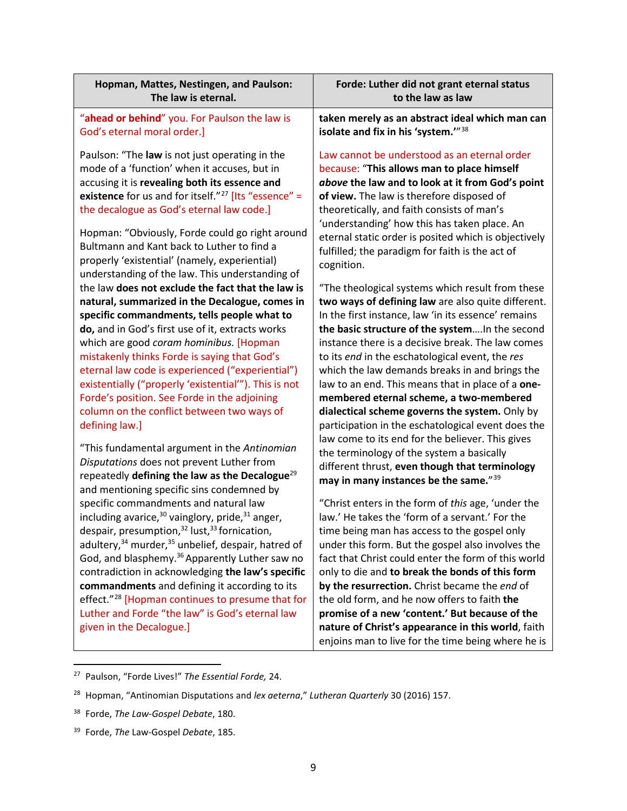| Hopman, Mattes, Nestingen, and Paulson:                                                                                                                                                                                                                                                                                                                                                                                                                                                                                                                                                   | Forde: Luther did not grant eternal status                                                                                                                                                                                                                                                                                                                                                                                                                                                                                                                                          |
|-------------------------------------------------------------------------------------------------------------------------------------------------------------------------------------------------------------------------------------------------------------------------------------------------------------------------------------------------------------------------------------------------------------------------------------------------------------------------------------------------------------------------------------------------------------------------------------------|-------------------------------------------------------------------------------------------------------------------------------------------------------------------------------------------------------------------------------------------------------------------------------------------------------------------------------------------------------------------------------------------------------------------------------------------------------------------------------------------------------------------------------------------------------------------------------------|
| The law is eternal.                                                                                                                                                                                                                                                                                                                                                                                                                                                                                                                                                                       | to the law as law                                                                                                                                                                                                                                                                                                                                                                                                                                                                                                                                                                   |
| "ahead or behind" you. For Paulson the law is                                                                                                                                                                                                                                                                                                                                                                                                                                                                                                                                             | taken merely as an abstract ideal which man can                                                                                                                                                                                                                                                                                                                                                                                                                                                                                                                                     |
| God's eternal moral order.]                                                                                                                                                                                                                                                                                                                                                                                                                                                                                                                                                               | isolate and fix in his 'system." <sup>38</sup>                                                                                                                                                                                                                                                                                                                                                                                                                                                                                                                                      |
| Paulson: "The law is not just operating in the                                                                                                                                                                                                                                                                                                                                                                                                                                                                                                                                            | Law cannot be understood as an eternal order                                                                                                                                                                                                                                                                                                                                                                                                                                                                                                                                        |
| mode of a 'function' when it accuses, but in                                                                                                                                                                                                                                                                                                                                                                                                                                                                                                                                              | because: "This allows man to place himself                                                                                                                                                                                                                                                                                                                                                                                                                                                                                                                                          |
| accusing it is revealing both its essence and                                                                                                                                                                                                                                                                                                                                                                                                                                                                                                                                             | above the law and to look at it from God's point                                                                                                                                                                                                                                                                                                                                                                                                                                                                                                                                    |
| existence for us and for itself." <sup>27</sup> [Its "essence" =                                                                                                                                                                                                                                                                                                                                                                                                                                                                                                                          | of view. The law is therefore disposed of                                                                                                                                                                                                                                                                                                                                                                                                                                                                                                                                           |
| the decalogue as God's eternal law code.]                                                                                                                                                                                                                                                                                                                                                                                                                                                                                                                                                 | theoretically, and faith consists of man's                                                                                                                                                                                                                                                                                                                                                                                                                                                                                                                                          |
| Hopman: "Obviously, Forde could go right around                                                                                                                                                                                                                                                                                                                                                                                                                                                                                                                                           | 'understanding' how this has taken place. An                                                                                                                                                                                                                                                                                                                                                                                                                                                                                                                                        |
| Bultmann and Kant back to Luther to find a                                                                                                                                                                                                                                                                                                                                                                                                                                                                                                                                                | eternal static order is posited which is objectively                                                                                                                                                                                                                                                                                                                                                                                                                                                                                                                                |
| properly 'existential' (namely, experiential)                                                                                                                                                                                                                                                                                                                                                                                                                                                                                                                                             | fulfilled; the paradigm for faith is the act of                                                                                                                                                                                                                                                                                                                                                                                                                                                                                                                                     |
| understanding of the law. This understanding of                                                                                                                                                                                                                                                                                                                                                                                                                                                                                                                                           | cognition.                                                                                                                                                                                                                                                                                                                                                                                                                                                                                                                                                                          |
| the law does not exclude the fact that the law is                                                                                                                                                                                                                                                                                                                                                                                                                                                                                                                                         | "The theological systems which result from these                                                                                                                                                                                                                                                                                                                                                                                                                                                                                                                                    |
| natural, summarized in the Decalogue, comes in                                                                                                                                                                                                                                                                                                                                                                                                                                                                                                                                            | two ways of defining law are also quite different.                                                                                                                                                                                                                                                                                                                                                                                                                                                                                                                                  |
| specific commandments, tells people what to                                                                                                                                                                                                                                                                                                                                                                                                                                                                                                                                               | In the first instance, law 'in its essence' remains                                                                                                                                                                                                                                                                                                                                                                                                                                                                                                                                 |
| do, and in God's first use of it, extracts works                                                                                                                                                                                                                                                                                                                                                                                                                                                                                                                                          | the basic structure of the system In the second                                                                                                                                                                                                                                                                                                                                                                                                                                                                                                                                     |
| which are good coram hominibus. [Hopman                                                                                                                                                                                                                                                                                                                                                                                                                                                                                                                                                   | instance there is a decisive break. The law comes                                                                                                                                                                                                                                                                                                                                                                                                                                                                                                                                   |
| mistakenly thinks Forde is saying that God's                                                                                                                                                                                                                                                                                                                                                                                                                                                                                                                                              | to its end in the eschatological event, the res                                                                                                                                                                                                                                                                                                                                                                                                                                                                                                                                     |
| eternal law code is experienced ("experiential")                                                                                                                                                                                                                                                                                                                                                                                                                                                                                                                                          | which the law demands breaks in and brings the                                                                                                                                                                                                                                                                                                                                                                                                                                                                                                                                      |
| existentially ("properly 'existential'"). This is not                                                                                                                                                                                                                                                                                                                                                                                                                                                                                                                                     | law to an end. This means that in place of a one-                                                                                                                                                                                                                                                                                                                                                                                                                                                                                                                                   |
| Forde's position. See Forde in the adjoining                                                                                                                                                                                                                                                                                                                                                                                                                                                                                                                                              | membered eternal scheme, a two-membered                                                                                                                                                                                                                                                                                                                                                                                                                                                                                                                                             |
| column on the conflict between two ways of                                                                                                                                                                                                                                                                                                                                                                                                                                                                                                                                                | dialectical scheme governs the system. Only by                                                                                                                                                                                                                                                                                                                                                                                                                                                                                                                                      |
| defining law.]                                                                                                                                                                                                                                                                                                                                                                                                                                                                                                                                                                            | participation in the eschatological event does the                                                                                                                                                                                                                                                                                                                                                                                                                                                                                                                                  |
| "This fundamental argument in the Antinomian                                                                                                                                                                                                                                                                                                                                                                                                                                                                                                                                              | law come to its end for the believer. This gives                                                                                                                                                                                                                                                                                                                                                                                                                                                                                                                                    |
| Disputations does not prevent Luther from                                                                                                                                                                                                                                                                                                                                                                                                                                                                                                                                                 | the terminology of the system a basically                                                                                                                                                                                                                                                                                                                                                                                                                                                                                                                                           |
| repeatedly defining the law as the Decalogue <sup>29</sup>                                                                                                                                                                                                                                                                                                                                                                                                                                                                                                                                | different thrust, even though that terminology                                                                                                                                                                                                                                                                                                                                                                                                                                                                                                                                      |
| and mentioning specific sins condemned by                                                                                                                                                                                                                                                                                                                                                                                                                                                                                                                                                 | may in many instances be the same."39                                                                                                                                                                                                                                                                                                                                                                                                                                                                                                                                               |
| specific commandments and natural law<br>including avarice, <sup>30</sup> vainglory, pride, <sup>31</sup> anger,<br>despair, presumption, <sup>32</sup> lust, <sup>33</sup> fornication,<br>adultery, <sup>34</sup> murder, <sup>35</sup> unbelief, despair, hatred of<br>God, and blasphemy. <sup>36</sup> Apparently Luther saw no<br>contradiction in acknowledging the law's specific<br>commandments and defining it according to its<br>effect." <sup>28</sup> [Hopman continues to presume that for<br>Luther and Forde "the law" is God's eternal law<br>given in the Decalogue.] | "Christ enters in the form of this age, 'under the<br>law.' He takes the 'form of a servant.' For the<br>time being man has access to the gospel only<br>under this form. But the gospel also involves the<br>fact that Christ could enter the form of this world<br>only to die and to break the bonds of this form<br>by the resurrection. Christ became the end of<br>the old form, and he now offers to faith the<br>promise of a new 'content.' But because of the<br>nature of Christ's appearance in this world, faith<br>enjoins man to live for the time being where he is |

<span id="page-8-0"></span><sup>27</sup> Paulson, "Forde Lives!" *The Essential Forde,* 24.

<span id="page-8-1"></span><sup>28</sup> Hopman, "Antinomian Disputations and *lex aeterna*," *Lutheran Quarterly* 30 (2016) 157.

<span id="page-8-2"></span><sup>38</sup> Forde, *The Law-Gospel Debate*, 180.

<span id="page-8-3"></span><sup>39</sup> Forde, *The* Law*-*Gospel *Debate*, 185.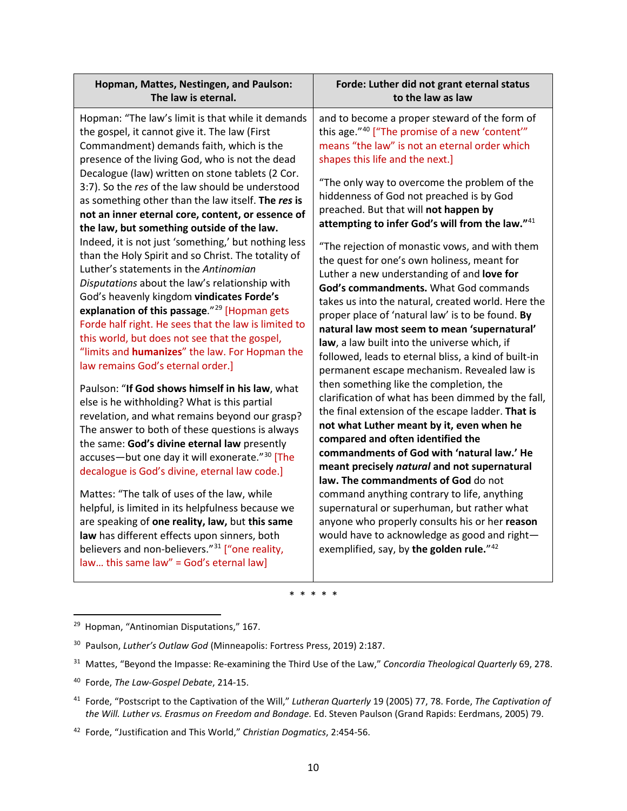| Hopman, Mattes, Nestingen, and Paulson:                                                                                                                                                                                                                                                                                                                                                                                                                                                                                                                                                                                                                                             | Forde: Luther did not grant eternal status                                                                                                                                                                                                                                                                                                                                                                                                                                                                                                                                             |
|-------------------------------------------------------------------------------------------------------------------------------------------------------------------------------------------------------------------------------------------------------------------------------------------------------------------------------------------------------------------------------------------------------------------------------------------------------------------------------------------------------------------------------------------------------------------------------------------------------------------------------------------------------------------------------------|----------------------------------------------------------------------------------------------------------------------------------------------------------------------------------------------------------------------------------------------------------------------------------------------------------------------------------------------------------------------------------------------------------------------------------------------------------------------------------------------------------------------------------------------------------------------------------------|
| The law is eternal.                                                                                                                                                                                                                                                                                                                                                                                                                                                                                                                                                                                                                                                                 | to the law as law                                                                                                                                                                                                                                                                                                                                                                                                                                                                                                                                                                      |
| Hopman: "The law's limit is that while it demands                                                                                                                                                                                                                                                                                                                                                                                                                                                                                                                                                                                                                                   | and to become a proper steward of the form of                                                                                                                                                                                                                                                                                                                                                                                                                                                                                                                                          |
| the gospel, it cannot give it. The law (First                                                                                                                                                                                                                                                                                                                                                                                                                                                                                                                                                                                                                                       | this age."40 ["The promise of a new 'content'"                                                                                                                                                                                                                                                                                                                                                                                                                                                                                                                                         |
| Commandment) demands faith, which is the                                                                                                                                                                                                                                                                                                                                                                                                                                                                                                                                                                                                                                            | means "the law" is not an eternal order which                                                                                                                                                                                                                                                                                                                                                                                                                                                                                                                                          |
| presence of the living God, who is not the dead                                                                                                                                                                                                                                                                                                                                                                                                                                                                                                                                                                                                                                     | shapes this life and the next.]                                                                                                                                                                                                                                                                                                                                                                                                                                                                                                                                                        |
| Decalogue (law) written on stone tablets (2 Cor.                                                                                                                                                                                                                                                                                                                                                                                                                                                                                                                                                                                                                                    | "The only way to overcome the problem of the                                                                                                                                                                                                                                                                                                                                                                                                                                                                                                                                           |
| 3:7). So the res of the law should be understood                                                                                                                                                                                                                                                                                                                                                                                                                                                                                                                                                                                                                                    | hiddenness of God not preached is by God                                                                                                                                                                                                                                                                                                                                                                                                                                                                                                                                               |
| as something other than the law itself. The res is                                                                                                                                                                                                                                                                                                                                                                                                                                                                                                                                                                                                                                  | preached. But that will not happen by                                                                                                                                                                                                                                                                                                                                                                                                                                                                                                                                                  |
| not an inner eternal core, content, or essence of                                                                                                                                                                                                                                                                                                                                                                                                                                                                                                                                                                                                                                   | attempting to infer God's will from the law." <sup>41</sup>                                                                                                                                                                                                                                                                                                                                                                                                                                                                                                                            |
| the law, but something outside of the law.                                                                                                                                                                                                                                                                                                                                                                                                                                                                                                                                                                                                                                          | "The rejection of monastic vows, and with them                                                                                                                                                                                                                                                                                                                                                                                                                                                                                                                                         |
| Indeed, it is not just 'something,' but nothing less                                                                                                                                                                                                                                                                                                                                                                                                                                                                                                                                                                                                                                | the quest for one's own holiness, meant for                                                                                                                                                                                                                                                                                                                                                                                                                                                                                                                                            |
| than the Holy Spirit and so Christ. The totality of                                                                                                                                                                                                                                                                                                                                                                                                                                                                                                                                                                                                                                 | Luther a new understanding of and love for                                                                                                                                                                                                                                                                                                                                                                                                                                                                                                                                             |
| Luther's statements in the Antinomian                                                                                                                                                                                                                                                                                                                                                                                                                                                                                                                                                                                                                                               | God's commandments. What God commands                                                                                                                                                                                                                                                                                                                                                                                                                                                                                                                                                  |
| Disputations about the law's relationship with                                                                                                                                                                                                                                                                                                                                                                                                                                                                                                                                                                                                                                      | takes us into the natural, created world. Here the                                                                                                                                                                                                                                                                                                                                                                                                                                                                                                                                     |
| God's heavenly kingdom vindicates Forde's                                                                                                                                                                                                                                                                                                                                                                                                                                                                                                                                                                                                                                           | proper place of 'natural law' is to be found. By                                                                                                                                                                                                                                                                                                                                                                                                                                                                                                                                       |
| explanation of this passage." <sup>29</sup> [Hopman gets                                                                                                                                                                                                                                                                                                                                                                                                                                                                                                                                                                                                                            | natural law most seem to mean 'supernatural'                                                                                                                                                                                                                                                                                                                                                                                                                                                                                                                                           |
| Forde half right. He sees that the law is limited to                                                                                                                                                                                                                                                                                                                                                                                                                                                                                                                                                                                                                                | law, a law built into the universe which, if                                                                                                                                                                                                                                                                                                                                                                                                                                                                                                                                           |
| this world, but does not see that the gospel,                                                                                                                                                                                                                                                                                                                                                                                                                                                                                                                                                                                                                                       | followed, leads to eternal bliss, a kind of built-in                                                                                                                                                                                                                                                                                                                                                                                                                                                                                                                                   |
| "limits and humanizes" the law. For Hopman the                                                                                                                                                                                                                                                                                                                                                                                                                                                                                                                                                                                                                                      | permanent escape mechanism. Revealed law is                                                                                                                                                                                                                                                                                                                                                                                                                                                                                                                                            |
| law remains God's eternal order.]                                                                                                                                                                                                                                                                                                                                                                                                                                                                                                                                                                                                                                                   | then something like the completion, the                                                                                                                                                                                                                                                                                                                                                                                                                                                                                                                                                |
| Paulson: "If God shows himself in his law, what<br>else is he withholding? What is this partial<br>revelation, and what remains beyond our grasp?<br>The answer to both of these questions is always<br>the same: God's divine eternal law presently<br>accuses-but one day it will exonerate." <sup>30</sup> [The<br>decalogue is God's divine, eternal law code.]<br>Mattes: "The talk of uses of the law, while<br>helpful, is limited in its helpfulness because we<br>are speaking of one reality, law, but this same<br>law has different effects upon sinners, both<br>believers and non-believers." <sup>31</sup> ["one reality,<br>law this same law" = God's eternal law] | clarification of what has been dimmed by the fall,<br>the final extension of the escape ladder. That is<br>not what Luther meant by it, even when he<br>compared and often identified the<br>commandments of God with 'natural law.' He<br>meant precisely natural and not supernatural<br>law. The commandments of God do not<br>command anything contrary to life, anything<br>supernatural or superhuman, but rather what<br>anyone who properly consults his or her reason<br>would have to acknowledge as good and right-<br>exemplified, say, by the golden rule." <sup>42</sup> |

<sup>\* \* \* \* \*</sup>

<span id="page-9-0"></span><sup>&</sup>lt;sup>29</sup> Hopman, "Antinomian Disputations," 167.

<span id="page-9-1"></span><sup>30</sup> Paulson, *Luther's Outlaw God* (Minneapolis: Fortress Press, 2019) 2:187.

<span id="page-9-2"></span><sup>31</sup> Mattes, "Beyond the Impasse: Re-examining the Third Use of the Law," *Concordia Theological Quarterly* 69, 278.

<span id="page-9-3"></span><sup>40</sup> Forde, *The Law-Gospel Debate*, 214-15.

<span id="page-9-4"></span><sup>41</sup> Forde, "Postscript to the Captivation of the Will," *Lutheran Quarterly* 19 (2005) 77, 78. Forde, *The Captivation of the Will. Luther vs. Erasmus on Freedom and Bondage.* Ed. Steven Paulson (Grand Rapids: Eerdmans, 2005) 79.

<span id="page-9-5"></span><sup>42</sup> Forde, "Justification and This World," *Christian Dogmatics*, 2:454-56.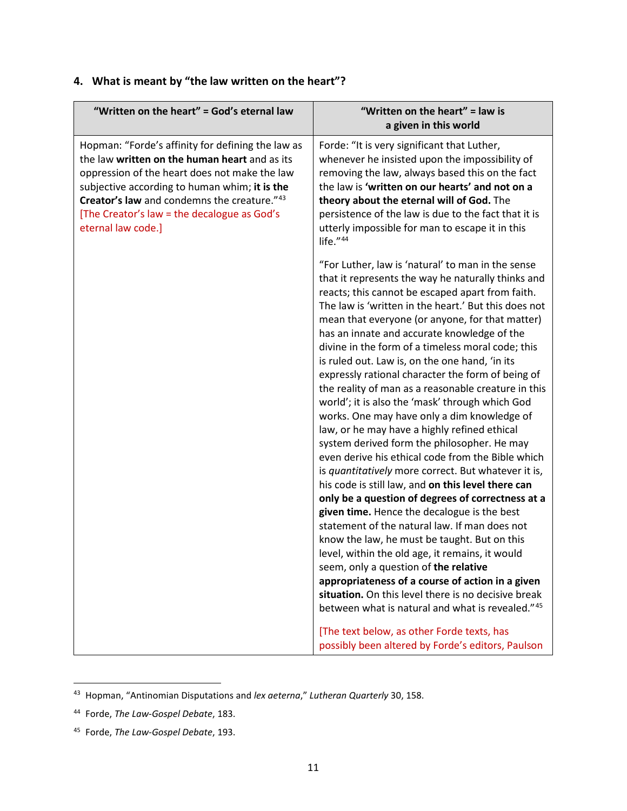| "Written on the heart" = God's eternal law                                                                                                                                                                                                                                                                               | "Written on the heart" = law is<br>a given in this world                                                                                                                                                                                                                                                                                                                                                                                                                                                                                                                                                                                                                                                                                                                                                                                                                                                                                                                                                                                                                                                                                                                                                                                                                                                                                                                                                                  |
|--------------------------------------------------------------------------------------------------------------------------------------------------------------------------------------------------------------------------------------------------------------------------------------------------------------------------|---------------------------------------------------------------------------------------------------------------------------------------------------------------------------------------------------------------------------------------------------------------------------------------------------------------------------------------------------------------------------------------------------------------------------------------------------------------------------------------------------------------------------------------------------------------------------------------------------------------------------------------------------------------------------------------------------------------------------------------------------------------------------------------------------------------------------------------------------------------------------------------------------------------------------------------------------------------------------------------------------------------------------------------------------------------------------------------------------------------------------------------------------------------------------------------------------------------------------------------------------------------------------------------------------------------------------------------------------------------------------------------------------------------------------|
| Hopman: "Forde's affinity for defining the law as<br>the law written on the human heart and as its<br>oppression of the heart does not make the law<br>subjective according to human whim; it is the<br>Creator's law and condemns the creature."43<br>[The Creator's law = the decalogue as God's<br>eternal law code.] | Forde: "It is very significant that Luther,<br>whenever he insisted upon the impossibility of<br>removing the law, always based this on the fact<br>the law is 'written on our hearts' and not on a<br>theory about the eternal will of God. The<br>persistence of the law is due to the fact that it is<br>utterly impossible for man to escape it in this<br>life."44                                                                                                                                                                                                                                                                                                                                                                                                                                                                                                                                                                                                                                                                                                                                                                                                                                                                                                                                                                                                                                                   |
|                                                                                                                                                                                                                                                                                                                          | "For Luther, law is 'natural' to man in the sense<br>that it represents the way he naturally thinks and<br>reacts; this cannot be escaped apart from faith.<br>The law is 'written in the heart.' But this does not<br>mean that everyone (or anyone, for that matter)<br>has an innate and accurate knowledge of the<br>divine in the form of a timeless moral code; this<br>is ruled out. Law is, on the one hand, 'in its<br>expressly rational character the form of being of<br>the reality of man as a reasonable creature in this<br>world'; it is also the 'mask' through which God<br>works. One may have only a dim knowledge of<br>law, or he may have a highly refined ethical<br>system derived form the philosopher. He may<br>even derive his ethical code from the Bible which<br>is quantitatively more correct. But whatever it is,<br>his code is still law, and on this level there can<br>only be a question of degrees of correctness at a<br>given time. Hence the decalogue is the best<br>statement of the natural law. If man does not<br>know the law, he must be taught. But on this<br>level, within the old age, it remains, it would<br>seem, only a question of the relative<br>appropriateness of a course of action in a given<br>situation. On this level there is no decisive break<br>between what is natural and what is revealed."45<br>[The text below, as other Forde texts, has |
|                                                                                                                                                                                                                                                                                                                          | possibly been altered by Forde's editors, Paulson                                                                                                                                                                                                                                                                                                                                                                                                                                                                                                                                                                                                                                                                                                                                                                                                                                                                                                                                                                                                                                                                                                                                                                                                                                                                                                                                                                         |

# <span id="page-10-0"></span>**4. What is meant by "the law written on the heart"?**

<span id="page-10-1"></span><sup>43</sup> Hopman, "Antinomian Disputations and *lex aeterna*," *Lutheran Quarterly* 30, 158.

<span id="page-10-2"></span><sup>44</sup> Forde, *The Law-Gospel Debate*, 183.

<span id="page-10-3"></span><sup>45</sup> Forde, *The Law-Gospel Debate*, 193.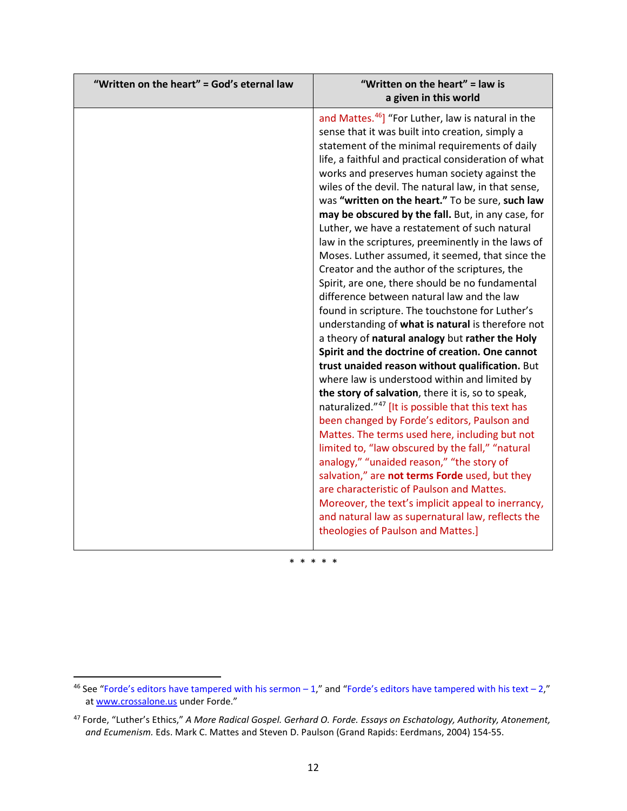| "Written on the heart" = God's eternal law | "Written on the heart" = law is<br>a given in this world                                                                                                                                                                                                                                                                                                                                                                                                                                                                                                                                                                                                                                                                                                                                                                                                                                                                                                                                                                                                                                                                                                                                                                                                                                                                                                                                                                                                                                                                                                                                                                                               |
|--------------------------------------------|--------------------------------------------------------------------------------------------------------------------------------------------------------------------------------------------------------------------------------------------------------------------------------------------------------------------------------------------------------------------------------------------------------------------------------------------------------------------------------------------------------------------------------------------------------------------------------------------------------------------------------------------------------------------------------------------------------------------------------------------------------------------------------------------------------------------------------------------------------------------------------------------------------------------------------------------------------------------------------------------------------------------------------------------------------------------------------------------------------------------------------------------------------------------------------------------------------------------------------------------------------------------------------------------------------------------------------------------------------------------------------------------------------------------------------------------------------------------------------------------------------------------------------------------------------------------------------------------------------------------------------------------------------|
|                                            | and Mattes. <sup>46</sup> ] "For Luther, law is natural in the<br>sense that it was built into creation, simply a<br>statement of the minimal requirements of daily<br>life, a faithful and practical consideration of what<br>works and preserves human society against the<br>wiles of the devil. The natural law, in that sense,<br>was "written on the heart." To be sure, such law<br>may be obscured by the fall. But, in any case, for<br>Luther, we have a restatement of such natural<br>law in the scriptures, preeminently in the laws of<br>Moses. Luther assumed, it seemed, that since the<br>Creator and the author of the scriptures, the<br>Spirit, are one, there should be no fundamental<br>difference between natural law and the law<br>found in scripture. The touchstone for Luther's<br>understanding of what is natural is therefore not<br>a theory of natural analogy but rather the Holy<br>Spirit and the doctrine of creation. One cannot<br>trust unaided reason without qualification. But<br>where law is understood within and limited by<br>the story of salvation, there it is, so to speak,<br>naturalized." <sup>47</sup> [It is possible that this text has<br>been changed by Forde's editors, Paulson and<br>Mattes. The terms used here, including but not<br>limited to, "law obscured by the fall," "natural<br>analogy," "unaided reason," "the story of<br>salvation," are not terms Forde used, but they<br>are characteristic of Paulson and Mattes.<br>Moreover, the text's implicit appeal to inerrancy,<br>and natural law as supernatural law, reflects the<br>theologies of Paulson and Mattes.] |

<span id="page-11-0"></span><sup>&</sup>lt;sup>46</sup> See "Forde's editors have tampered with his sermon  $-1$ ," and "Forde's editors have tampered with his text  $-2$ ," at [www.crossalone.us](http://www.crossalone.us/) under Forde."

<span id="page-11-1"></span><sup>47</sup> Forde, "Luther's Ethics," *A More Radical Gospel. Gerhard O. Forde. Essays on Eschatology, Authority, Atonement, and Ecumenism.* Eds. Mark C. Mattes and Steven D. Paulson (Grand Rapids: Eerdmans, 2004) 154-55.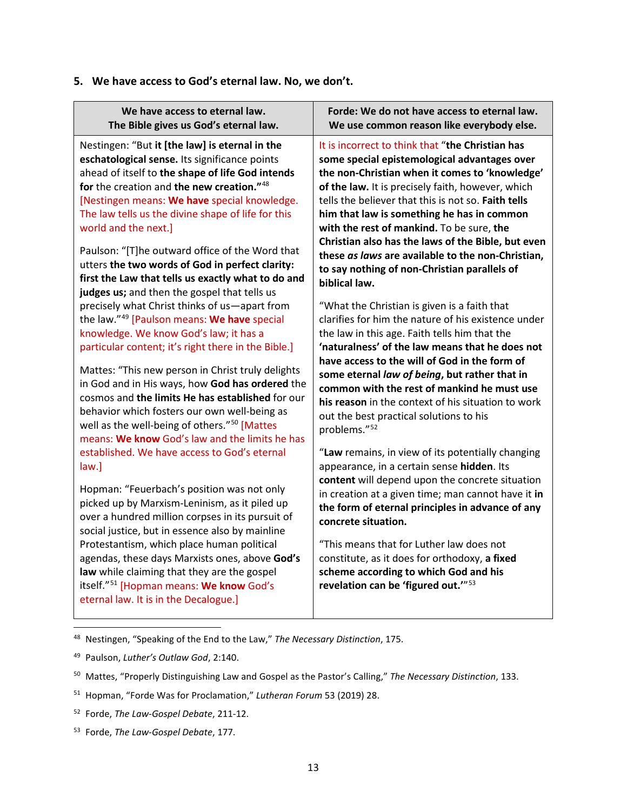<span id="page-12-0"></span>

|  |  |  |  | 5. We have access to God's eternal law. No, we don't. |  |  |  |
|--|--|--|--|-------------------------------------------------------|--|--|--|
|--|--|--|--|-------------------------------------------------------|--|--|--|

| We have access to eternal law.                                                                                                                                                                                                                                                                                                                                                                                                                                                                                                                                                                                                             | Forde: We do not have access to eternal law.                                                                                                                                                                                                                                                                                                                                                                                                                                                                                                                                                                                                                                                      |
|--------------------------------------------------------------------------------------------------------------------------------------------------------------------------------------------------------------------------------------------------------------------------------------------------------------------------------------------------------------------------------------------------------------------------------------------------------------------------------------------------------------------------------------------------------------------------------------------------------------------------------------------|---------------------------------------------------------------------------------------------------------------------------------------------------------------------------------------------------------------------------------------------------------------------------------------------------------------------------------------------------------------------------------------------------------------------------------------------------------------------------------------------------------------------------------------------------------------------------------------------------------------------------------------------------------------------------------------------------|
| The Bible gives us God's eternal law.                                                                                                                                                                                                                                                                                                                                                                                                                                                                                                                                                                                                      | We use common reason like everybody else.                                                                                                                                                                                                                                                                                                                                                                                                                                                                                                                                                                                                                                                         |
| Nestingen: "But it [the law] is eternal in the                                                                                                                                                                                                                                                                                                                                                                                                                                                                                                                                                                                             | It is incorrect to think that "the Christian has                                                                                                                                                                                                                                                                                                                                                                                                                                                                                                                                                                                                                                                  |
| eschatological sense. Its significance points                                                                                                                                                                                                                                                                                                                                                                                                                                                                                                                                                                                              | some special epistemological advantages over                                                                                                                                                                                                                                                                                                                                                                                                                                                                                                                                                                                                                                                      |
| ahead of itself to the shape of life God intends                                                                                                                                                                                                                                                                                                                                                                                                                                                                                                                                                                                           | the non-Christian when it comes to 'knowledge'                                                                                                                                                                                                                                                                                                                                                                                                                                                                                                                                                                                                                                                    |
| for the creation and the new creation." <sup>48</sup>                                                                                                                                                                                                                                                                                                                                                                                                                                                                                                                                                                                      | of the law. It is precisely faith, however, which                                                                                                                                                                                                                                                                                                                                                                                                                                                                                                                                                                                                                                                 |
| [Nestingen means: We have special knowledge.                                                                                                                                                                                                                                                                                                                                                                                                                                                                                                                                                                                               | tells the believer that this is not so. Faith tells                                                                                                                                                                                                                                                                                                                                                                                                                                                                                                                                                                                                                                               |
| The law tells us the divine shape of life for this                                                                                                                                                                                                                                                                                                                                                                                                                                                                                                                                                                                         | him that law is something he has in common                                                                                                                                                                                                                                                                                                                                                                                                                                                                                                                                                                                                                                                        |
| world and the next.]                                                                                                                                                                                                                                                                                                                                                                                                                                                                                                                                                                                                                       | with the rest of mankind. To be sure, the                                                                                                                                                                                                                                                                                                                                                                                                                                                                                                                                                                                                                                                         |
| Paulson: "[T]he outward office of the Word that                                                                                                                                                                                                                                                                                                                                                                                                                                                                                                                                                                                            | Christian also has the laws of the Bible, but even                                                                                                                                                                                                                                                                                                                                                                                                                                                                                                                                                                                                                                                |
| utters the two words of God in perfect clarity:                                                                                                                                                                                                                                                                                                                                                                                                                                                                                                                                                                                            | these as laws are available to the non-Christian,                                                                                                                                                                                                                                                                                                                                                                                                                                                                                                                                                                                                                                                 |
| first the Law that tells us exactly what to do and                                                                                                                                                                                                                                                                                                                                                                                                                                                                                                                                                                                         | to say nothing of non-Christian parallels of                                                                                                                                                                                                                                                                                                                                                                                                                                                                                                                                                                                                                                                      |
| judges us; and then the gospel that tells us                                                                                                                                                                                                                                                                                                                                                                                                                                                                                                                                                                                               | biblical law.                                                                                                                                                                                                                                                                                                                                                                                                                                                                                                                                                                                                                                                                                     |
| precisely what Christ thinks of us-apart from<br>the law." <sup>49</sup> [Paulson means: We have special<br>knowledge. We know God's law; it has a<br>particular content; it's right there in the Bible.]<br>Mattes: "This new person in Christ truly delights<br>in God and in His ways, how God has ordered the<br>cosmos and the limits He has established for our<br>behavior which fosters our own well-being as<br>well as the well-being of others." <sup>50</sup> [Mattes<br>means: We know God's law and the limits he has<br>established. We have access to God's eternal<br>law.]<br>Hopman: "Feuerbach's position was not only | "What the Christian is given is a faith that<br>clarifies for him the nature of his existence under<br>the law in this age. Faith tells him that the<br>'naturalness' of the law means that he does not<br>have access to the will of God in the form of<br>some eternal law of being, but rather that in<br>common with the rest of mankind he must use<br>his reason in the context of his situation to work<br>out the best practical solutions to his<br>problems." <sup>52</sup><br>"Law remains, in view of its potentially changing<br>appearance, in a certain sense hidden. Its<br>content will depend upon the concrete situation<br>in creation at a given time; man cannot have it in |
| picked up by Marxism-Leninism, as it piled up<br>over a hundred million corpses in its pursuit of<br>social justice, but in essence also by mainline<br>Protestantism, which place human political<br>agendas, these days Marxists ones, above God's<br>law while claiming that they are the gospel<br>itself." <sup>51</sup> [Hopman means: We know God's<br>eternal law. It is in the Decalogue.]                                                                                                                                                                                                                                        | the form of eternal principles in advance of any<br>concrete situation.<br>"This means that for Luther law does not<br>constitute, as it does for orthodoxy, a fixed<br>scheme according to which God and his<br>revelation can be 'figured out." <sup>53</sup>                                                                                                                                                                                                                                                                                                                                                                                                                                   |

<span id="page-12-1"></span><sup>48</sup> Nestingen, "Speaking of the End to the Law," *The Necessary Distinction*, 175.

<span id="page-12-2"></span><sup>49</sup> Paulson, *Luther's Outlaw God*, 2:140.

<span id="page-12-3"></span><sup>50</sup> Mattes, "Properly Distinguishing Law and Gospel as the Pastor's Calling," *The Necessary Distinction*, 133.

<span id="page-12-4"></span><sup>51</sup> Hopman, "Forde Was for Proclamation," *Lutheran Forum* 53 (2019) 28.

<span id="page-12-5"></span><sup>52</sup> Forde, *The Law-Gospel Debate*, 211-12.

<span id="page-12-6"></span><sup>53</sup> Forde, *The Law-Gospel Debate*, 177.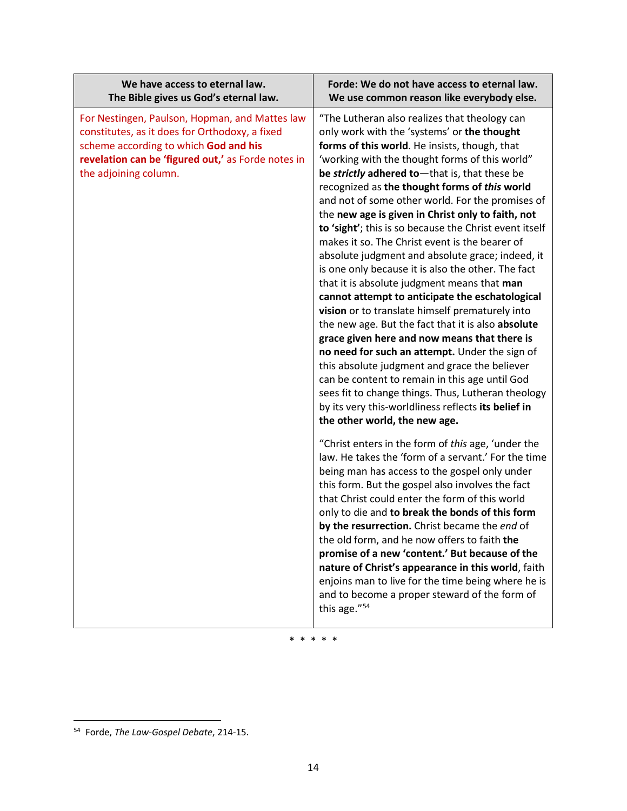| We have access to eternal law.<br>The Bible gives us God's eternal law.                                                                                                                                                  | Forde: We do not have access to eternal law.<br>We use common reason like everybody else.                                                                                                                                                                                                                                                                                                                                                                                                                                                                                                                                                                                                                                                                                                                                                                                                                                                                                                                                                                                                                                                                                                      |
|--------------------------------------------------------------------------------------------------------------------------------------------------------------------------------------------------------------------------|------------------------------------------------------------------------------------------------------------------------------------------------------------------------------------------------------------------------------------------------------------------------------------------------------------------------------------------------------------------------------------------------------------------------------------------------------------------------------------------------------------------------------------------------------------------------------------------------------------------------------------------------------------------------------------------------------------------------------------------------------------------------------------------------------------------------------------------------------------------------------------------------------------------------------------------------------------------------------------------------------------------------------------------------------------------------------------------------------------------------------------------------------------------------------------------------|
| For Nestingen, Paulson, Hopman, and Mattes law<br>constitutes, as it does for Orthodoxy, a fixed<br>scheme according to which God and his<br>revelation can be 'figured out,' as Forde notes in<br>the adjoining column. | "The Lutheran also realizes that theology can<br>only work with the 'systems' or the thought<br>forms of this world. He insists, though, that<br>'working with the thought forms of this world"<br>be strictly adhered to-that is, that these be<br>recognized as the thought forms of this world<br>and not of some other world. For the promises of<br>the new age is given in Christ only to faith, not<br>to 'sight'; this is so because the Christ event itself<br>makes it so. The Christ event is the bearer of<br>absolute judgment and absolute grace; indeed, it<br>is one only because it is also the other. The fact<br>that it is absolute judgment means that man<br>cannot attempt to anticipate the eschatological<br>vision or to translate himself prematurely into<br>the new age. But the fact that it is also absolute<br>grace given here and now means that there is<br>no need for such an attempt. Under the sign of<br>this absolute judgment and grace the believer<br>can be content to remain in this age until God<br>sees fit to change things. Thus, Lutheran theology<br>by its very this-worldliness reflects its belief in<br>the other world, the new age. |
|                                                                                                                                                                                                                          | "Christ enters in the form of this age, 'under the<br>law. He takes the 'form of a servant.' For the time<br>being man has access to the gospel only under<br>this form. But the gospel also involves the fact<br>that Christ could enter the form of this world<br>only to die and to break the bonds of this form<br>by the resurrection. Christ became the end of<br>the old form, and he now offers to faith the<br>promise of a new 'content.' But because of the<br>nature of Christ's appearance in this world, faith<br>enjoins man to live for the time being where he is<br>and to become a proper steward of the form of<br>this age." <sup>54</sup>                                                                                                                                                                                                                                                                                                                                                                                                                                                                                                                                |

<span id="page-13-0"></span><sup>54</sup> Forde, *The Law-Gospel Debate*, 214-15.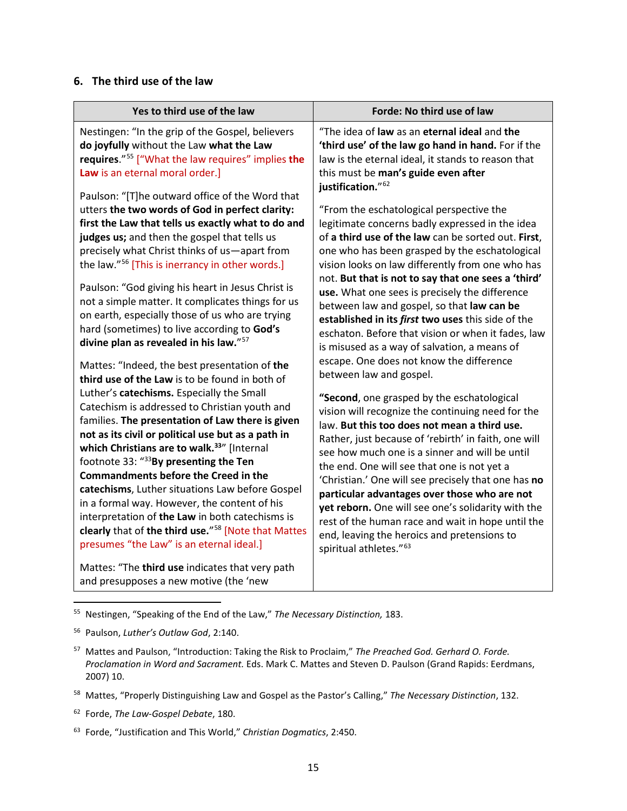### <span id="page-14-0"></span>**6. The third use of the law**

| Yes to third use of the law                                                                                                                                                                                                                                                                                                                                                                                                                                                                                                                                                                                                                                                                                                                                                                                                                                                                                                                                                                                                                                                                                                                                                                                                                                                                                       | Forde: No third use of law                                                                                                                                                                                                                                                                                                                                                                                                                                                                                                                                                                                                                                                                                                                                                                                                                                                                                                                                                                                                                                                                                                                                                                                                                                            |
|-------------------------------------------------------------------------------------------------------------------------------------------------------------------------------------------------------------------------------------------------------------------------------------------------------------------------------------------------------------------------------------------------------------------------------------------------------------------------------------------------------------------------------------------------------------------------------------------------------------------------------------------------------------------------------------------------------------------------------------------------------------------------------------------------------------------------------------------------------------------------------------------------------------------------------------------------------------------------------------------------------------------------------------------------------------------------------------------------------------------------------------------------------------------------------------------------------------------------------------------------------------------------------------------------------------------|-----------------------------------------------------------------------------------------------------------------------------------------------------------------------------------------------------------------------------------------------------------------------------------------------------------------------------------------------------------------------------------------------------------------------------------------------------------------------------------------------------------------------------------------------------------------------------------------------------------------------------------------------------------------------------------------------------------------------------------------------------------------------------------------------------------------------------------------------------------------------------------------------------------------------------------------------------------------------------------------------------------------------------------------------------------------------------------------------------------------------------------------------------------------------------------------------------------------------------------------------------------------------|
| Nestingen: "In the grip of the Gospel, believers<br>do joyfully without the Law what the Law<br>requires." <sup>55</sup> ["What the law requires" implies the<br>Law is an eternal moral order.]                                                                                                                                                                                                                                                                                                                                                                                                                                                                                                                                                                                                                                                                                                                                                                                                                                                                                                                                                                                                                                                                                                                  | "The idea of law as an eternal ideal and the<br>'third use' of the law go hand in hand. For if the<br>law is the eternal ideal, it stands to reason that<br>this must be man's guide even after<br>justification." <sup>62</sup>                                                                                                                                                                                                                                                                                                                                                                                                                                                                                                                                                                                                                                                                                                                                                                                                                                                                                                                                                                                                                                      |
| Paulson: "[T]he outward office of the Word that<br>utters the two words of God in perfect clarity:<br>first the Law that tells us exactly what to do and<br>judges us; and then the gospel that tells us<br>precisely what Christ thinks of us-apart from<br>the law." <sup>56</sup> [This is inerrancy in other words.]<br>Paulson: "God giving his heart in Jesus Christ is<br>not a simple matter. It complicates things for us<br>on earth, especially those of us who are trying<br>hard (sometimes) to live according to God's<br>divine plan as revealed in his law."57<br>Mattes: "Indeed, the best presentation of the<br>third use of the Law is to be found in both of<br>Luther's catechisms. Especially the Small<br>Catechism is addressed to Christian youth and<br>families. The presentation of Law there is given<br>not as its civil or political use but as a path in<br>which Christians are to walk. <sup>33</sup> " [Internal<br>footnote 33: "33By presenting the Ten<br><b>Commandments before the Creed in the</b><br>catechisms, Luther situations Law before Gospel<br>in a formal way. However, the content of his<br>interpretation of the Law in both catechisms is<br>clearly that of the third use." <sup>58</sup> [Note that Mattes<br>presumes "the Law" is an eternal ideal.] | "From the eschatological perspective the<br>legitimate concerns badly expressed in the idea<br>of a third use of the law can be sorted out. First,<br>one who has been grasped by the eschatological<br>vision looks on law differently from one who has<br>not. But that is not to say that one sees a 'third'<br>use. What one sees is precisely the difference<br>between law and gospel, so that law can be<br>established in its first two uses this side of the<br>eschaton. Before that vision or when it fades, law<br>is misused as a way of salvation, a means of<br>escape. One does not know the difference<br>between law and gospel.<br>"Second, one grasped by the eschatological<br>vision will recognize the continuing need for the<br>law. But this too does not mean a third use.<br>Rather, just because of 'rebirth' in faith, one will<br>see how much one is a sinner and will be until<br>the end. One will see that one is not yet a<br>'Christian.' One will see precisely that one has no<br>particular advantages over those who are not<br>yet reborn. One will see one's solidarity with the<br>rest of the human race and wait in hope until the<br>end, leaving the heroics and pretensions to<br>spiritual athletes." <sup>63</sup> |
| Mattes: "The third use indicates that very path                                                                                                                                                                                                                                                                                                                                                                                                                                                                                                                                                                                                                                                                                                                                                                                                                                                                                                                                                                                                                                                                                                                                                                                                                                                                   |                                                                                                                                                                                                                                                                                                                                                                                                                                                                                                                                                                                                                                                                                                                                                                                                                                                                                                                                                                                                                                                                                                                                                                                                                                                                       |

<span id="page-14-1"></span><sup>55</sup> Nestingen, "Speaking of the End of the Law," *The Necessary Distinction,* 183.

and presupposes a new motive (the 'new

<span id="page-14-2"></span><sup>56</sup> Paulson, *Luther's Outlaw God*, 2:140.

<span id="page-14-3"></span><sup>57</sup> Mattes and Paulson, "Introduction: Taking the Risk to Proclaim," *The Preached God. Gerhard O. Forde. Proclamation in Word and Sacrament.* Eds. Mark C. Mattes and Steven D. Paulson (Grand Rapids: Eerdmans, 2007) 10.

<span id="page-14-4"></span><sup>58</sup> Mattes, "Properly Distinguishing Law and Gospel as the Pastor's Calling," *The Necessary Distinction*, 132.

<span id="page-14-5"></span><sup>62</sup> Forde, *The Law-Gospel Debate*, 180.

<span id="page-14-6"></span><sup>63</sup> Forde, "Justification and This World," *Christian Dogmatics*, 2:450.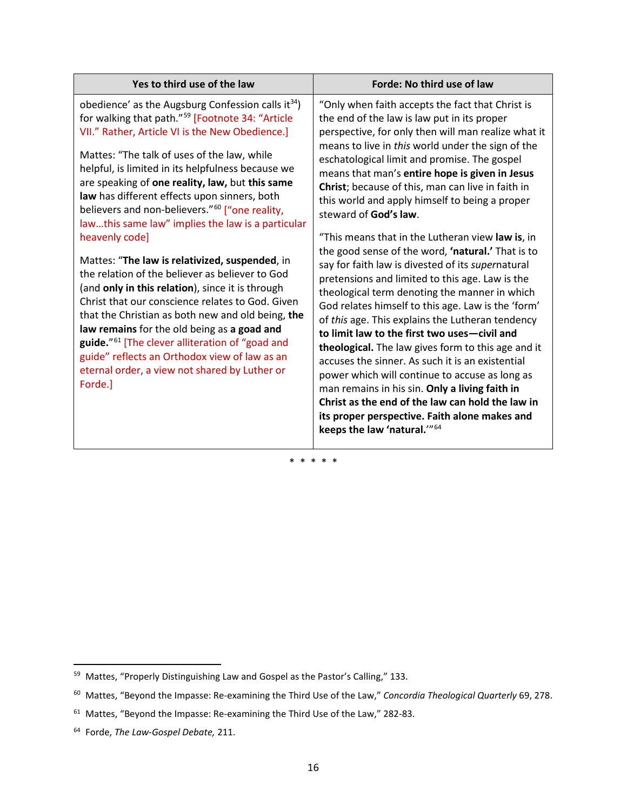| Yes to third use of the law                                                                                                                                                                                                                                                                                                                                                                                                                                                                                                                                                                                                                                                                                                                                                                                                                                                                                                                                                                                                | Forde: No third use of law                                                                                                                                                                                                                                                                                                                                                                                                                                                                                                                                                                                                                                                                                                                                                                                                                                                                                                                                                                                                                                                                                                                                                                                                             |
|----------------------------------------------------------------------------------------------------------------------------------------------------------------------------------------------------------------------------------------------------------------------------------------------------------------------------------------------------------------------------------------------------------------------------------------------------------------------------------------------------------------------------------------------------------------------------------------------------------------------------------------------------------------------------------------------------------------------------------------------------------------------------------------------------------------------------------------------------------------------------------------------------------------------------------------------------------------------------------------------------------------------------|----------------------------------------------------------------------------------------------------------------------------------------------------------------------------------------------------------------------------------------------------------------------------------------------------------------------------------------------------------------------------------------------------------------------------------------------------------------------------------------------------------------------------------------------------------------------------------------------------------------------------------------------------------------------------------------------------------------------------------------------------------------------------------------------------------------------------------------------------------------------------------------------------------------------------------------------------------------------------------------------------------------------------------------------------------------------------------------------------------------------------------------------------------------------------------------------------------------------------------------|
| obedience' as the Augsburg Confession calls it <sup>34</sup> )<br>for walking that path." <sup>59</sup> [Footnote 34: "Article<br>VII." Rather, Article VI is the New Obedience.]<br>Mattes: "The talk of uses of the law, while<br>helpful, is limited in its helpfulness because we<br>are speaking of one reality, law, but this same<br>law has different effects upon sinners, both<br>believers and non-believers." <sup>60</sup> ["one reality,<br>lawthis same law" implies the law is a particular<br>heavenly code]<br>Mattes: "The law is relativized, suspended, in<br>the relation of the believer as believer to God<br>(and only in this relation), since it is through<br>Christ that our conscience relates to God. Given<br>that the Christian as both new and old being, the<br>law remains for the old being as a goad and<br>guide." <sup>61</sup> [The clever alliteration of "goad and<br>guide" reflects an Orthodox view of law as an<br>eternal order, a view not shared by Luther or<br>Forde.] | "Only when faith accepts the fact that Christ is<br>the end of the law is law put in its proper<br>perspective, for only then will man realize what it<br>means to live in this world under the sign of the<br>eschatological limit and promise. The gospel<br>means that man's entire hope is given in Jesus<br>Christ; because of this, man can live in faith in<br>this world and apply himself to being a proper<br>steward of God's law.<br>"This means that in the Lutheran view law is, in<br>the good sense of the word, 'natural.' That is to<br>say for faith law is divested of its supernatural<br>pretensions and limited to this age. Law is the<br>theological term denoting the manner in which<br>God relates himself to this age. Law is the 'form'<br>of this age. This explains the Lutheran tendency<br>to limit law to the first two uses-civil and<br>theological. The law gives form to this age and it<br>accuses the sinner. As such it is an existential<br>power which will continue to accuse as long as<br>man remains in his sin. Only a living faith in<br>Christ as the end of the law can hold the law in<br>its proper perspective. Faith alone makes and<br>keeps the law 'natural." <sup>64</sup> |

<span id="page-15-1"></span><span id="page-15-0"></span><sup>59</sup> Mattes, "Properly Distinguishing Law and Gospel as the Pastor's Calling," 133.

<span id="page-15-2"></span><sup>60</sup> Mattes, "Beyond the Impasse: Re-examining the Third Use of the Law," *Concordia Theological Quarterly* 69, 278.

<span id="page-15-3"></span><sup>61</sup> Mattes, "Beyond the Impasse: Re-examining the Third Use of the Law," 282-83.

<span id="page-15-4"></span><sup>64</sup> Forde, *The Law-Gospel Debate,* 211.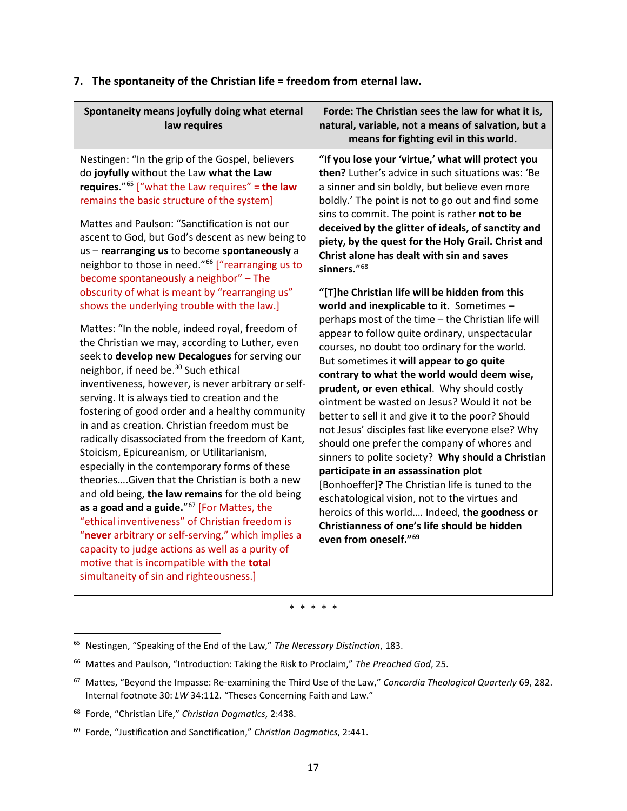| Spontaneity means joyfully doing what eternal<br>law requires                                                                                                                                                                                                                                                                                                                                                                                                                                                                                                                                                                                                                                                                                                                                                                                                                                                                                                                                                                                                                                    | Forde: The Christian sees the law for what it is,<br>natural, variable, not a means of salvation, but a<br>means for fighting evil in this world.                                                                                                                                                                                                                                                                                                                                                                                                                                                                                                                                                                                                                                                                                                                                                                                               |
|--------------------------------------------------------------------------------------------------------------------------------------------------------------------------------------------------------------------------------------------------------------------------------------------------------------------------------------------------------------------------------------------------------------------------------------------------------------------------------------------------------------------------------------------------------------------------------------------------------------------------------------------------------------------------------------------------------------------------------------------------------------------------------------------------------------------------------------------------------------------------------------------------------------------------------------------------------------------------------------------------------------------------------------------------------------------------------------------------|-------------------------------------------------------------------------------------------------------------------------------------------------------------------------------------------------------------------------------------------------------------------------------------------------------------------------------------------------------------------------------------------------------------------------------------------------------------------------------------------------------------------------------------------------------------------------------------------------------------------------------------------------------------------------------------------------------------------------------------------------------------------------------------------------------------------------------------------------------------------------------------------------------------------------------------------------|
| Nestingen: "In the grip of the Gospel, believers<br>do joyfully without the Law what the Law<br>requires." $65$ ["what the Law requires" = the law<br>remains the basic structure of the system]<br>Mattes and Paulson: "Sanctification is not our<br>ascent to God, but God's descent as new being to<br>us - rearranging us to become spontaneously a<br>neighbor to those in need." <sup>66</sup> ["rearranging us to<br>become spontaneously a neighbor" - The                                                                                                                                                                                                                                                                                                                                                                                                                                                                                                                                                                                                                               | "If you lose your 'virtue,' what will protect you<br>then? Luther's advice in such situations was: 'Be<br>a sinner and sin boldly, but believe even more<br>boldly.' The point is not to go out and find some<br>sins to commit. The point is rather not to be<br>deceived by the glitter of ideals, of sanctity and<br>piety, by the quest for the Holy Grail. Christ and<br>Christ alone has dealt with sin and saves<br>sinners."68                                                                                                                                                                                                                                                                                                                                                                                                                                                                                                          |
| obscurity of what is meant by "rearranging us"<br>shows the underlying trouble with the law.]<br>Mattes: "In the noble, indeed royal, freedom of<br>the Christian we may, according to Luther, even<br>seek to develop new Decalogues for serving our<br>neighbor, if need be. <sup>30</sup> Such ethical<br>inventiveness, however, is never arbitrary or self-<br>serving. It is always tied to creation and the<br>fostering of good order and a healthy community<br>in and as creation. Christian freedom must be<br>radically disassociated from the freedom of Kant,<br>Stoicism, Epicureanism, or Utilitarianism,<br>especially in the contemporary forms of these<br>theoriesGiven that the Christian is both a new<br>and old being, the law remains for the old being<br>as a goad and a guide." <sup>67</sup> [For Mattes, the<br>"ethical inventiveness" of Christian freedom is<br>"never arbitrary or self-serving," which implies a<br>capacity to judge actions as well as a purity of<br>motive that is incompatible with the total<br>simultaneity of sin and righteousness.] | "[T]he Christian life will be hidden from this<br>world and inexplicable to it. Sometimes -<br>perhaps most of the time - the Christian life will<br>appear to follow quite ordinary, unspectacular<br>courses, no doubt too ordinary for the world.<br>But sometimes it will appear to go quite<br>contrary to what the world would deem wise,<br>prudent, or even ethical. Why should costly<br>ointment be wasted on Jesus? Would it not be<br>better to sell it and give it to the poor? Should<br>not Jesus' disciples fast like everyone else? Why<br>should one prefer the company of whores and<br>sinners to polite society? Why should a Christian<br>participate in an assassination plot<br>[Bonhoeffer]? The Christian life is tuned to the<br>eschatological vision, not to the virtues and<br>heroics of this world Indeed, the goodness or<br>Christianness of one's life should be hidden<br>even from oneself." <sup>69</sup> |

## **7. The spontaneity of the Christian life = freedom from eternal law.**

<span id="page-16-0"></span><sup>65</sup> Nestingen, "Speaking of the End of the Law," *The Necessary Distinction*, 183.

<span id="page-16-1"></span><sup>66</sup> Mattes and Paulson, "Introduction: Taking the Risk to Proclaim," *The Preached God*, 25.

<span id="page-16-2"></span><sup>67</sup> Mattes, "Beyond the Impasse: Re-examining the Third Use of the Law," *Concordia Theological Quarterly* 69, 282. Internal footnote 30: *LW* 34:112. "Theses Concerning Faith and Law."

<span id="page-16-3"></span><sup>68</sup> Forde, "Christian Life," *Christian Dogmatics*, 2:438.

<span id="page-16-4"></span><sup>69</sup> Forde, "Justification and Sanctification," *Christian Dogmatics*, 2:441.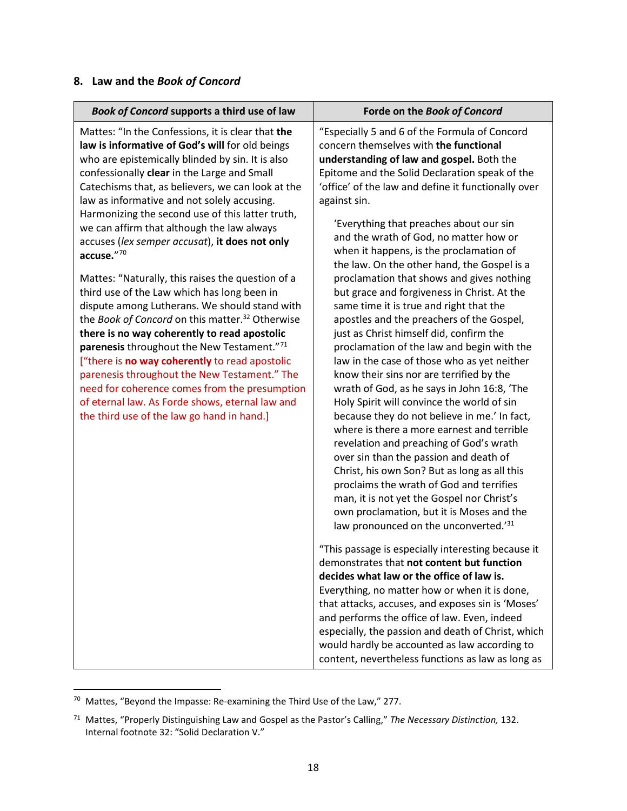# <span id="page-17-0"></span>**8. Law and the** *Book of Concord*

| Book of Concord supports a third use of law                                                                                                                                                                                                                                                                                                                                                                                                                                                                                                                        | Forde on the Book of Concord                                                                                                                                                                                                                                                                                                                                                                                                                                                                                                                                                                                                                                                                                                                                                                                                                                                                                                                                                                                                                                                                                                                                                                                                               |
|--------------------------------------------------------------------------------------------------------------------------------------------------------------------------------------------------------------------------------------------------------------------------------------------------------------------------------------------------------------------------------------------------------------------------------------------------------------------------------------------------------------------------------------------------------------------|--------------------------------------------------------------------------------------------------------------------------------------------------------------------------------------------------------------------------------------------------------------------------------------------------------------------------------------------------------------------------------------------------------------------------------------------------------------------------------------------------------------------------------------------------------------------------------------------------------------------------------------------------------------------------------------------------------------------------------------------------------------------------------------------------------------------------------------------------------------------------------------------------------------------------------------------------------------------------------------------------------------------------------------------------------------------------------------------------------------------------------------------------------------------------------------------------------------------------------------------|
| Mattes: "In the Confessions, it is clear that the<br>law is informative of God's will for old beings<br>who are epistemically blinded by sin. It is also<br>confessionally clear in the Large and Small<br>Catechisms that, as believers, we can look at the<br>law as informative and not solely accusing.<br>Harmonizing the second use of this latter truth,<br>we can affirm that although the law always<br>accuses (lex semper accusat), it does not only<br>accuse."70                                                                                      | "Especially 5 and 6 of the Formula of Concord<br>concern themselves with the functional<br>understanding of law and gospel. Both the<br>Epitome and the Solid Declaration speak of the<br>'office' of the law and define it functionally over<br>against sin.<br>'Everything that preaches about our sin<br>and the wrath of God, no matter how or<br>when it happens, is the proclamation of                                                                                                                                                                                                                                                                                                                                                                                                                                                                                                                                                                                                                                                                                                                                                                                                                                              |
| Mattes: "Naturally, this raises the question of a<br>third use of the Law which has long been in<br>dispute among Lutherans. We should stand with<br>the Book of Concord on this matter. <sup>32</sup> Otherwise<br>there is no way coherently to read apostolic<br>parenesis throughout the New Testament."71<br>["there is no way coherently to read apostolic<br>parenesis throughout the New Testament." The<br>need for coherence comes from the presumption<br>of eternal law. As Forde shows, eternal law and<br>the third use of the law go hand in hand.] | the law. On the other hand, the Gospel is a<br>proclamation that shows and gives nothing<br>but grace and forgiveness in Christ. At the<br>same time it is true and right that the<br>apostles and the preachers of the Gospel,<br>just as Christ himself did, confirm the<br>proclamation of the law and begin with the<br>law in the case of those who as yet neither<br>know their sins nor are terrified by the<br>wrath of God, as he says in John 16:8, 'The<br>Holy Spirit will convince the world of sin<br>because they do not believe in me.' In fact,<br>where is there a more earnest and terrible<br>revelation and preaching of God's wrath<br>over sin than the passion and death of<br>Christ, his own Son? But as long as all this<br>proclaims the wrath of God and terrifies<br>man, it is not yet the Gospel nor Christ's<br>own proclamation, but it is Moses and the<br>law pronounced on the unconverted.'31<br>"This passage is especially interesting because it<br>demonstrates that not content but function<br>decides what law or the office of law is.<br>Everything, no matter how or when it is done,<br>that attacks, accuses, and exposes sin is 'Moses'<br>and performs the office of law. Even, indeed |
|                                                                                                                                                                                                                                                                                                                                                                                                                                                                                                                                                                    | especially, the passion and death of Christ, which<br>would hardly be accounted as law according to<br>content, nevertheless functions as law as long as                                                                                                                                                                                                                                                                                                                                                                                                                                                                                                                                                                                                                                                                                                                                                                                                                                                                                                                                                                                                                                                                                   |

<span id="page-17-1"></span><sup>70</sup> Mattes, "Beyond the Impasse: Re-examining the Third Use of the Law," 277.

<span id="page-17-2"></span><sup>71</sup> Mattes, "Properly Distinguishing Law and Gospel as the Pastor's Calling," *The Necessary Distinction,* 132. Internal footnote 32: "Solid Declaration V."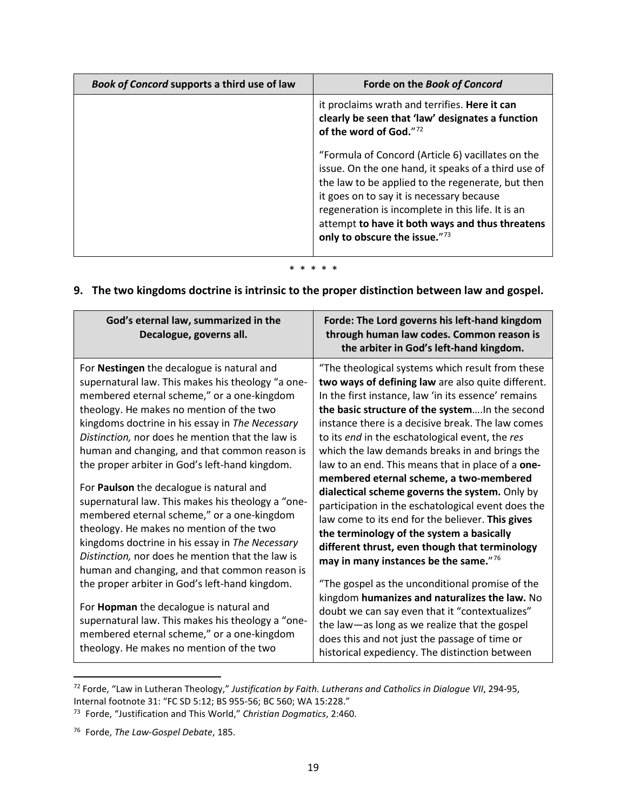| Book of Concord supports a third use of law | Forde on the Book of Concord                                                                                                                                                                                                                                                                                                                        |
|---------------------------------------------|-----------------------------------------------------------------------------------------------------------------------------------------------------------------------------------------------------------------------------------------------------------------------------------------------------------------------------------------------------|
|                                             | it proclaims wrath and terrifies. Here it can<br>clearly be seen that 'law' designates a function<br>of the word of God."72                                                                                                                                                                                                                         |
|                                             | "Formula of Concord (Article 6) vacillates on the<br>issue. On the one hand, it speaks of a third use of<br>the law to be applied to the regenerate, but then<br>it goes on to say it is necessary because<br>regeneration is incomplete in this life. It is an<br>attempt to have it both ways and thus threatens<br>only to obscure the issue."73 |

# <span id="page-18-0"></span>**9. The two kingdoms doctrine is intrinsic to the proper distinction between law and gospel.**

| God's eternal law, summarized in the<br>Decalogue, governs all.                                                                                                                                                                                                                                                                                                                                                                                                                                                                                                                                                                                                                                                                                                                                                                                                                                                                                                                                    | Forde: The Lord governs his left-hand kingdom<br>through human law codes. Common reason is<br>the arbiter in God's left-hand kingdom.                                                                                                                                                                                                                                                                                                                                                                                                                                                                                                                                                                                                                                                                                                                                                                                                                                                                                                                                                    |
|----------------------------------------------------------------------------------------------------------------------------------------------------------------------------------------------------------------------------------------------------------------------------------------------------------------------------------------------------------------------------------------------------------------------------------------------------------------------------------------------------------------------------------------------------------------------------------------------------------------------------------------------------------------------------------------------------------------------------------------------------------------------------------------------------------------------------------------------------------------------------------------------------------------------------------------------------------------------------------------------------|------------------------------------------------------------------------------------------------------------------------------------------------------------------------------------------------------------------------------------------------------------------------------------------------------------------------------------------------------------------------------------------------------------------------------------------------------------------------------------------------------------------------------------------------------------------------------------------------------------------------------------------------------------------------------------------------------------------------------------------------------------------------------------------------------------------------------------------------------------------------------------------------------------------------------------------------------------------------------------------------------------------------------------------------------------------------------------------|
| For Nestingen the decalogue is natural and<br>supernatural law. This makes his theology "a one-<br>membered eternal scheme," or a one-kingdom<br>theology. He makes no mention of the two<br>kingdoms doctrine in his essay in The Necessary<br>Distinction, nor does he mention that the law is<br>human and changing, and that common reason is<br>the proper arbiter in God's left-hand kingdom.<br>For Paulson the decalogue is natural and<br>supernatural law. This makes his theology a "one-<br>membered eternal scheme," or a one-kingdom<br>theology. He makes no mention of the two<br>kingdoms doctrine in his essay in The Necessary<br>Distinction, nor does he mention that the law is<br>human and changing, and that common reason is<br>the proper arbiter in God's left-hand kingdom.<br>For Hopman the decalogue is natural and<br>supernatural law. This makes his theology a "one-<br>membered eternal scheme," or a one-kingdom<br>theology. He makes no mention of the two | "The theological systems which result from these<br>two ways of defining law are also quite different.<br>In the first instance, law 'in its essence' remains<br>the basic structure of the system In the second<br>instance there is a decisive break. The law comes<br>to its end in the eschatological event, the res<br>which the law demands breaks in and brings the<br>law to an end. This means that in place of a one-<br>membered eternal scheme, a two-membered<br>dialectical scheme governs the system. Only by<br>participation in the eschatological event does the<br>law come to its end for the believer. This gives<br>the terminology of the system a basically<br>different thrust, even though that terminology<br>may in many instances be the same."76<br>"The gospel as the unconditional promise of the<br>kingdom humanizes and naturalizes the law. No<br>doubt we can say even that it "contextualizes"<br>the law-as long as we realize that the gospel<br>does this and not just the passage of time or<br>historical expediency. The distinction between |

<span id="page-18-1"></span><sup>72</sup> Forde, "Law in Lutheran Theology," *Justification by Faith. Lutherans and Catholics in Dialogue VII*, 294-95, Internal footnote 31: "FC SD 5:12; BS 955-56; BC 560; WA 15:228."

<span id="page-18-2"></span><sup>73</sup> Forde, "Justification and This World," *Christian Dogmatics*, 2:460.

<span id="page-18-3"></span><sup>76</sup> Forde, *The Law-Gospel Debate*, 185.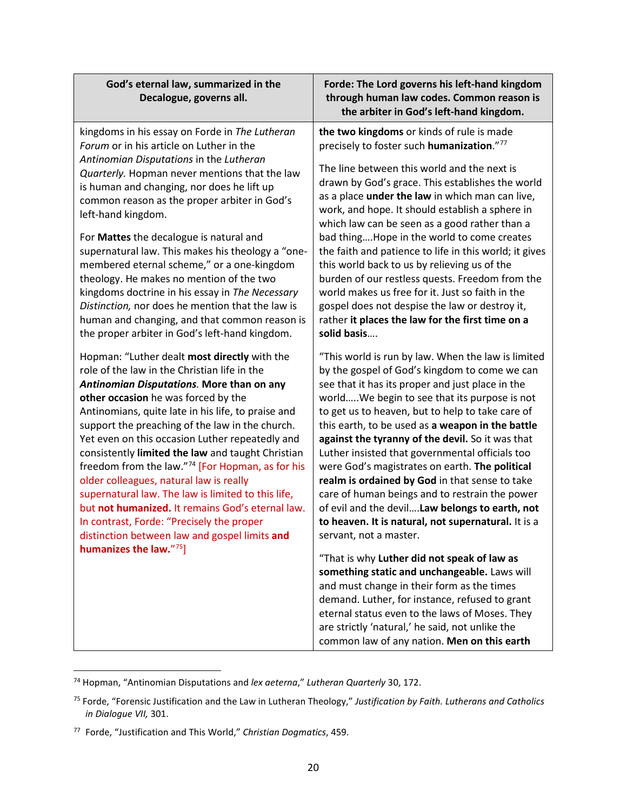| God's eternal law, summarized in the<br>Decalogue, governs all.                                                                                                                                                                                                                                                                                                                                                                                                                                                                                                                                                                                                                                                                                    | Forde: The Lord governs his left-hand kingdom<br>through human law codes. Common reason is<br>the arbiter in God's left-hand kingdom.                                                                                                                                                                                                                                                                                                                                                                                                                                                                                                                                                                            |
|----------------------------------------------------------------------------------------------------------------------------------------------------------------------------------------------------------------------------------------------------------------------------------------------------------------------------------------------------------------------------------------------------------------------------------------------------------------------------------------------------------------------------------------------------------------------------------------------------------------------------------------------------------------------------------------------------------------------------------------------------|------------------------------------------------------------------------------------------------------------------------------------------------------------------------------------------------------------------------------------------------------------------------------------------------------------------------------------------------------------------------------------------------------------------------------------------------------------------------------------------------------------------------------------------------------------------------------------------------------------------------------------------------------------------------------------------------------------------|
| kingdoms in his essay on Forde in The Lutheran                                                                                                                                                                                                                                                                                                                                                                                                                                                                                                                                                                                                                                                                                                     | the two kingdoms or kinds of rule is made                                                                                                                                                                                                                                                                                                                                                                                                                                                                                                                                                                                                                                                                        |
| Forum or in his article on Luther in the                                                                                                                                                                                                                                                                                                                                                                                                                                                                                                                                                                                                                                                                                                           | precisely to foster such humanization."77                                                                                                                                                                                                                                                                                                                                                                                                                                                                                                                                                                                                                                                                        |
| Antinomian Disputations in the Lutheran                                                                                                                                                                                                                                                                                                                                                                                                                                                                                                                                                                                                                                                                                                            | The line between this world and the next is                                                                                                                                                                                                                                                                                                                                                                                                                                                                                                                                                                                                                                                                      |
| Quarterly. Hopman never mentions that the law                                                                                                                                                                                                                                                                                                                                                                                                                                                                                                                                                                                                                                                                                                      | drawn by God's grace. This establishes the world                                                                                                                                                                                                                                                                                                                                                                                                                                                                                                                                                                                                                                                                 |
| is human and changing, nor does he lift up                                                                                                                                                                                                                                                                                                                                                                                                                                                                                                                                                                                                                                                                                                         | as a place under the law in which man can live,                                                                                                                                                                                                                                                                                                                                                                                                                                                                                                                                                                                                                                                                  |
| common reason as the proper arbiter in God's                                                                                                                                                                                                                                                                                                                                                                                                                                                                                                                                                                                                                                                                                                       | work, and hope. It should establish a sphere in                                                                                                                                                                                                                                                                                                                                                                                                                                                                                                                                                                                                                                                                  |
| left-hand kingdom.                                                                                                                                                                                                                                                                                                                                                                                                                                                                                                                                                                                                                                                                                                                                 | which law can be seen as a good rather than a                                                                                                                                                                                                                                                                                                                                                                                                                                                                                                                                                                                                                                                                    |
| For Mattes the decalogue is natural and                                                                                                                                                                                                                                                                                                                                                                                                                                                                                                                                                                                                                                                                                                            | bad thingHope in the world to come creates                                                                                                                                                                                                                                                                                                                                                                                                                                                                                                                                                                                                                                                                       |
| supernatural law. This makes his theology a "one-                                                                                                                                                                                                                                                                                                                                                                                                                                                                                                                                                                                                                                                                                                  | the faith and patience to life in this world; it gives                                                                                                                                                                                                                                                                                                                                                                                                                                                                                                                                                                                                                                                           |
| membered eternal scheme," or a one-kingdom                                                                                                                                                                                                                                                                                                                                                                                                                                                                                                                                                                                                                                                                                                         | this world back to us by relieving us of the                                                                                                                                                                                                                                                                                                                                                                                                                                                                                                                                                                                                                                                                     |
| theology. He makes no mention of the two                                                                                                                                                                                                                                                                                                                                                                                                                                                                                                                                                                                                                                                                                                           | burden of our restless quests. Freedom from the                                                                                                                                                                                                                                                                                                                                                                                                                                                                                                                                                                                                                                                                  |
| kingdoms doctrine in his essay in The Necessary                                                                                                                                                                                                                                                                                                                                                                                                                                                                                                                                                                                                                                                                                                    | world makes us free for it. Just so faith in the                                                                                                                                                                                                                                                                                                                                                                                                                                                                                                                                                                                                                                                                 |
| Distinction, nor does he mention that the law is                                                                                                                                                                                                                                                                                                                                                                                                                                                                                                                                                                                                                                                                                                   | gospel does not despise the law or destroy it,                                                                                                                                                                                                                                                                                                                                                                                                                                                                                                                                                                                                                                                                   |
| human and changing, and that common reason is                                                                                                                                                                                                                                                                                                                                                                                                                                                                                                                                                                                                                                                                                                      | rather it places the law for the first time on a                                                                                                                                                                                                                                                                                                                                                                                                                                                                                                                                                                                                                                                                 |
| the proper arbiter in God's left-hand kingdom.                                                                                                                                                                                                                                                                                                                                                                                                                                                                                                                                                                                                                                                                                                     | solid basis                                                                                                                                                                                                                                                                                                                                                                                                                                                                                                                                                                                                                                                                                                      |
| Hopman: "Luther dealt most directly with the<br>role of the law in the Christian life in the<br>Antinomian Disputations. More than on any<br>other occasion he was forced by the<br>Antinomians, quite late in his life, to praise and<br>support the preaching of the law in the church.<br>Yet even on this occasion Luther repeatedly and<br>consistently limited the law and taught Christian<br>freedom from the law." <sup>74</sup> [For Hopman, as for his<br>older colleagues, natural law is really<br>supernatural law. The law is limited to this life,<br>but not humanized. It remains God's eternal law.<br>In contrast, Forde: "Precisely the proper<br>distinction between law and gospel limits and<br>humanizes the law." $75$ ] | "This world is run by law. When the law is limited<br>by the gospel of God's kingdom to come we can<br>see that it has its proper and just place in the<br>worldWe begin to see that its purpose is not<br>to get us to heaven, but to help to take care of<br>this earth, to be used as a weapon in the battle<br>against the tyranny of the devil. So it was that<br>Luther insisted that governmental officials too<br>were God's magistrates on earth. The political<br>realm is ordained by God in that sense to take<br>care of human beings and to restrain the power<br>of evil and the devil Law belongs to earth, not<br>to heaven. It is natural, not supernatural. It is a<br>servant, not a master. |
|                                                                                                                                                                                                                                                                                                                                                                                                                                                                                                                                                                                                                                                                                                                                                    | "That is why Luther did not speak of law as<br>something static and unchangeable. Laws will<br>and must change in their form as the times<br>demand. Luther, for instance, refused to grant<br>eternal status even to the laws of Moses. They<br>are strictly 'natural,' he said, not unlike the<br>common law of any nation. Men on this earth                                                                                                                                                                                                                                                                                                                                                                  |

<span id="page-19-0"></span><sup>74</sup> Hopman, "Antinomian Disputations and *lex aeterna*," *Lutheran Quarterly* 30, 172.

<span id="page-19-1"></span><sup>75</sup> Forde, "Forensic Justification and the Law in Lutheran Theology," *Justification by Faith. Lutherans and Catholics in Dialogue VII,* 301.

<span id="page-19-2"></span><sup>77</sup> Forde, "Justification and This World," *Christian Dogmatics*, 459.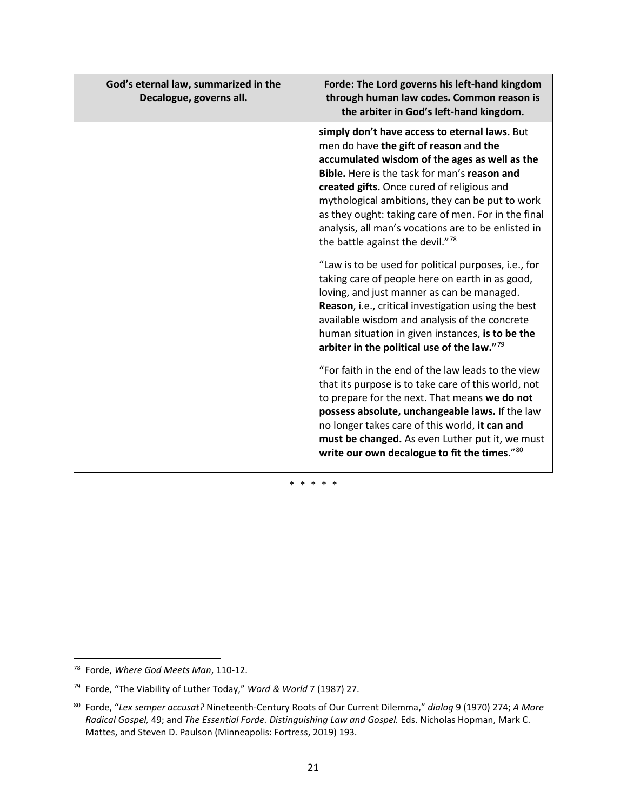| God's eternal law, summarized in the<br>Decalogue, governs all. | Forde: The Lord governs his left-hand kingdom<br>through human law codes. Common reason is<br>the arbiter in God's left-hand kingdom.                                                                                                                                                                                                                                                                                                       |
|-----------------------------------------------------------------|---------------------------------------------------------------------------------------------------------------------------------------------------------------------------------------------------------------------------------------------------------------------------------------------------------------------------------------------------------------------------------------------------------------------------------------------|
|                                                                 | simply don't have access to eternal laws. But<br>men do have the gift of reason and the<br>accumulated wisdom of the ages as well as the<br>Bible. Here is the task for man's reason and<br>created gifts. Once cured of religious and<br>mythological ambitions, they can be put to work<br>as they ought: taking care of men. For in the final<br>analysis, all man's vocations are to be enlisted in<br>the battle against the devil."78 |
|                                                                 | "Law is to be used for political purposes, i.e., for<br>taking care of people here on earth in as good,<br>loving, and just manner as can be managed.<br>Reason, i.e., critical investigation using the best<br>available wisdom and analysis of the concrete<br>human situation in given instances, is to be the<br>arbiter in the political use of the law."79                                                                            |
|                                                                 | "For faith in the end of the law leads to the view<br>that its purpose is to take care of this world, not<br>to prepare for the next. That means we do not<br>possess absolute, unchangeable laws. If the law<br>no longer takes care of this world, it can and<br>must be changed. As even Luther put it, we must<br>write our own decalogue to fit the times."80                                                                          |

<span id="page-20-0"></span><sup>78</sup> Forde, *Where God Meets Man*, 110-12.

<span id="page-20-1"></span><sup>79</sup> Forde, "The Viability of Luther Today," *Word & World* 7 (1987) 27.

<span id="page-20-2"></span><sup>80</sup> Forde, "*Lex semper accusat?* Nineteenth-Century Roots of Our Current Dilemma," *dialog* 9 (1970) 274; *A More Radical Gospel,* 49; and *The Essential Forde. Distinguishing Law and Gospel.* Eds. Nicholas Hopman, Mark C. Mattes, and Steven D. Paulson (Minneapolis: Fortress, 2019) 193.